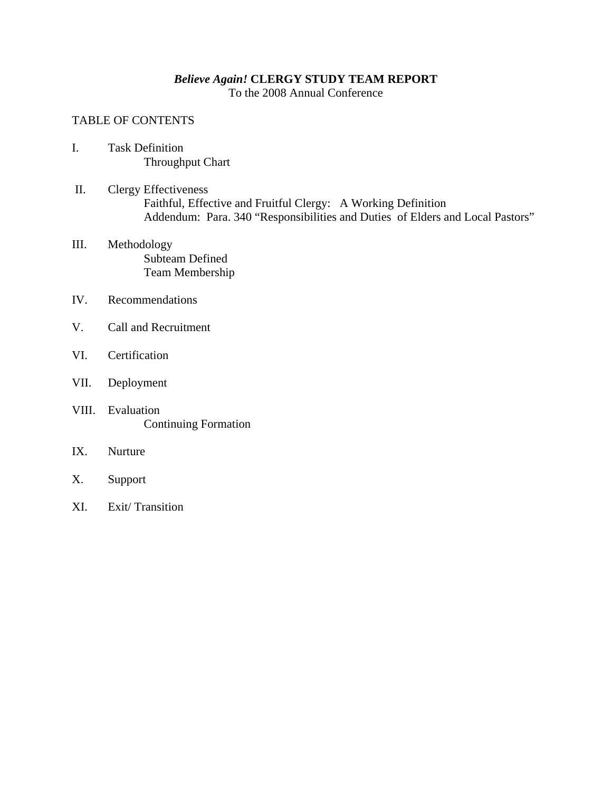# *Believe Again!* **CLERGY STUDY TEAM REPORT**

To the 2008 Annual Conference

### TABLE OF CONTENTS

- I. Task Definition Throughput Chart
- II. Clergy Effectiveness Faithful, Effective and Fruitful Clergy: A Working Definition Addendum: Para. 340 "Responsibilities and Duties of Elders and Local Pastors"
- III. Methodology Subteam Defined Team Membership
- IV. Recommendations
- V. Call and Recruitment
- VI. Certification
- VII. Deployment
- VIII. Evaluation Continuing Formation
- IX. Nurture
- X. Support
- XI. Exit/ Transition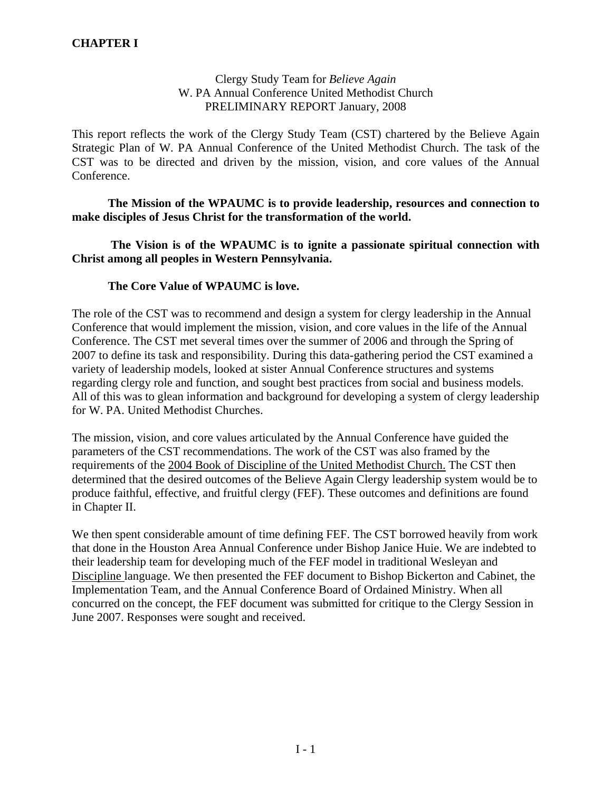### Clergy Study Team for *Believe Again* W. PA Annual Conference United Methodist Church PRELIMINARY REPORT January, 2008

This report reflects the work of the Clergy Study Team (CST) chartered by the Believe Again Strategic Plan of W. PA Annual Conference of the United Methodist Church. The task of the CST was to be directed and driven by the mission, vision, and core values of the Annual Conference.

### **The Mission of the WPAUMC is to provide leadership, resources and connection to make disciples of Jesus Christ for the transformation of the world.**

 **The Vision is of the WPAUMC is to ignite a passionate spiritual connection with Christ among all peoples in Western Pennsylvania.** 

### **The Core Value of WPAUMC is love.**

The role of the CST was to recommend and design a system for clergy leadership in the Annual Conference that would implement the mission, vision, and core values in the life of the Annual Conference. The CST met several times over the summer of 2006 and through the Spring of 2007 to define its task and responsibility. During this data-gathering period the CST examined a variety of leadership models, looked at sister Annual Conference structures and systems regarding clergy role and function, and sought best practices from social and business models. All of this was to glean information and background for developing a system of clergy leadership for W. PA. United Methodist Churches.

The mission, vision, and core values articulated by the Annual Conference have guided the parameters of the CST recommendations. The work of the CST was also framed by the requirements of the 2004 Book of Discipline of the United Methodist Church. The CST then determined that the desired outcomes of the Believe Again Clergy leadership system would be to produce faithful, effective, and fruitful clergy (FEF). These outcomes and definitions are found in Chapter II.

We then spent considerable amount of time defining FEF. The CST borrowed heavily from work that done in the Houston Area Annual Conference under Bishop Janice Huie. We are indebted to their leadership team for developing much of the FEF model in traditional Wesleyan and Discipline language. We then presented the FEF document to Bishop Bickerton and Cabinet, the Implementation Team, and the Annual Conference Board of Ordained Ministry. When all concurred on the concept, the FEF document was submitted for critique to the Clergy Session in June 2007. Responses were sought and received.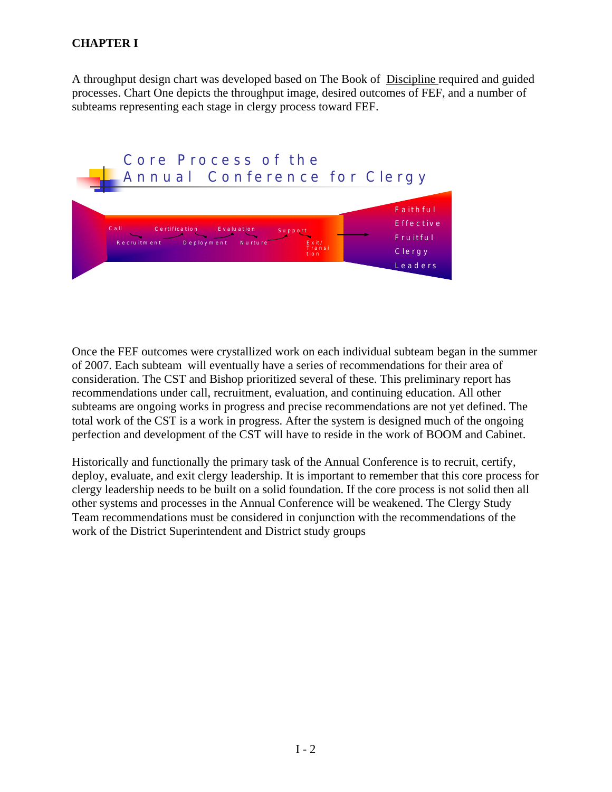A throughput design chart was developed based on The Book of Discipline required and guided processes. Chart One depicts the throughput image, desired outcomes of FEF, and a number of subteams representing each stage in clergy process toward FEF.



Once the FEF outcomes were crystallized work on each individual subteam began in the summer of 2007. Each subteam will eventually have a series of recommendations for their area of consideration. The CST and Bishop prioritized several of these. This preliminary report has recommendations under call, recruitment, evaluation, and continuing education. All other subteams are ongoing works in progress and precise recommendations are not yet defined. The total work of the CST is a work in progress. After the system is designed much of the ongoing perfection and development of the CST will have to reside in the work of BOOM and Cabinet.

Historically and functionally the primary task of the Annual Conference is to recruit, certify, deploy, evaluate, and exit clergy leadership. It is important to remember that this core process for clergy leadership needs to be built on a solid foundation. If the core process is not solid then all other systems and processes in the Annual Conference will be weakened. The Clergy Study Team recommendations must be considered in conjunction with the recommendations of the work of the District Superintendent and District study groups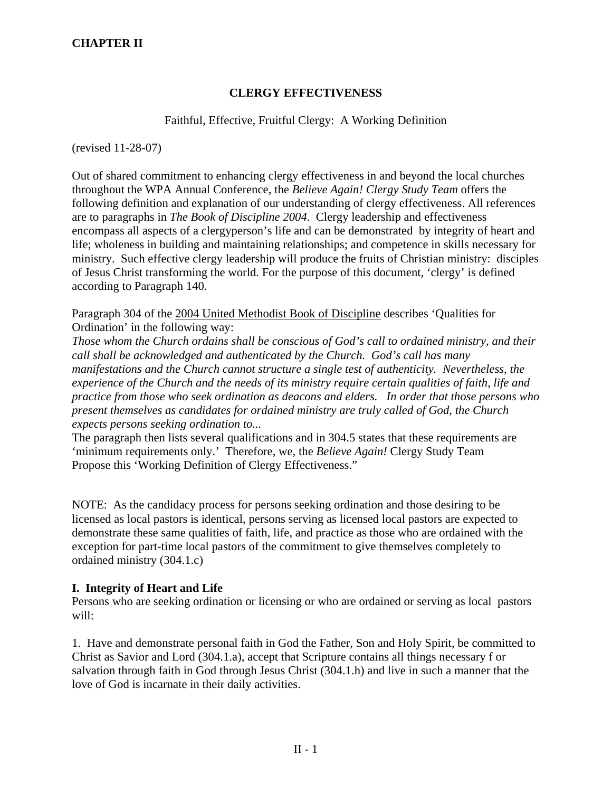## **CLERGY EFFECTIVENESS**

### Faithful, Effective, Fruitful Clergy: A Working Definition

(revised 11-28-07)

Out of shared commitment to enhancing clergy effectiveness in and beyond the local churches throughout the WPA Annual Conference, the *Believe Again! Clergy Study Team* offers the following definition and explanation of our understanding of clergy effectiveness. All references are to paragraphs in *The Book of Discipline 2004*. Clergy leadership and effectiveness encompass all aspects of a clergyperson's life and can be demonstrated by integrity of heart and life; wholeness in building and maintaining relationships; and competence in skills necessary for ministry. Such effective clergy leadership will produce the fruits of Christian ministry: disciples of Jesus Christ transforming the world. For the purpose of this document, 'clergy' is defined according to Paragraph 140.

Paragraph 304 of the 2004 United Methodist Book of Discipline describes 'Qualities for Ordination' in the following way:

*Those whom the Church ordains shall be conscious of God's call to ordained ministry, and their call shall be acknowledged and authenticated by the Church. God's call has many manifestations and the Church cannot structure a single test of authenticity. Nevertheless, the experience of the Church and the needs of its ministry require certain qualities of faith, life and practice from those who seek ordination as deacons and elders. In order that those persons who present themselves as candidates for ordained ministry are truly called of God, the Church expects persons seeking ordination to...* 

The paragraph then lists several qualifications and in 304.5 states that these requirements are 'minimum requirements only.' Therefore, we, the *Believe Again!* Clergy Study Team Propose this 'Working Definition of Clergy Effectiveness."

NOTE: As the candidacy process for persons seeking ordination and those desiring to be licensed as local pastors is identical, persons serving as licensed local pastors are expected to demonstrate these same qualities of faith, life, and practice as those who are ordained with the exception for part-time local pastors of the commitment to give themselves completely to ordained ministry (304.1.c)

### **I. Integrity of Heart and Life**

Persons who are seeking ordination or licensing or who are ordained or serving as local pastors will:

1. Have and demonstrate personal faith in God the Father, Son and Holy Spirit, be committed to Christ as Savior and Lord (304.1.a), accept that Scripture contains all things necessary f or salvation through faith in God through Jesus Christ (304.1.h) and live in such a manner that the love of God is incarnate in their daily activities.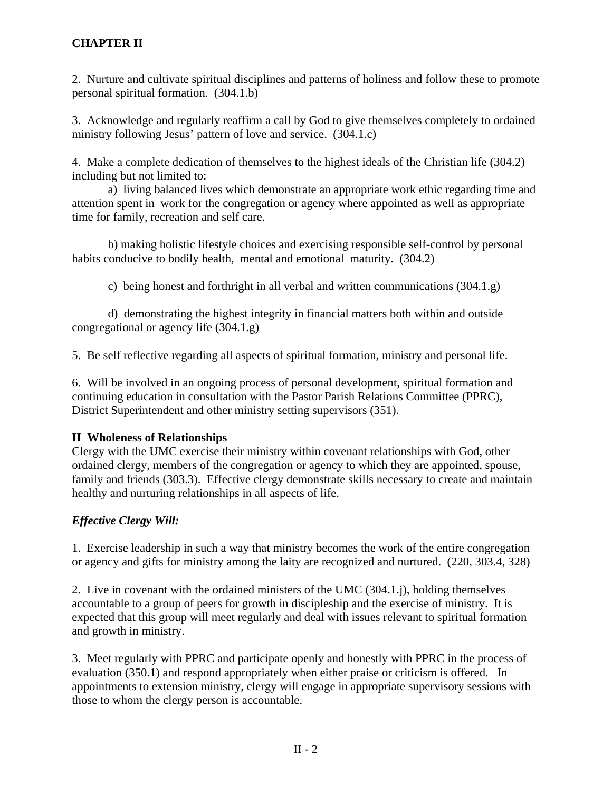2. Nurture and cultivate spiritual disciplines and patterns of holiness and follow these to promote personal spiritual formation. (304.1.b)

3. Acknowledge and regularly reaffirm a call by God to give themselves completely to ordained ministry following Jesus' pattern of love and service. (304.1.c)

4. Make a complete dedication of themselves to the highest ideals of the Christian life (304.2) including but not limited to:

 a) living balanced lives which demonstrate an appropriate work ethic regarding time and attention spent in work for the congregation or agency where appointed as well as appropriate time for family, recreation and self care.

 b) making holistic lifestyle choices and exercising responsible self-control by personal habits conducive to bodily health, mental and emotional maturity. (304.2)

c) being honest and forthright in all verbal and written communications (304.1.g)

 d) demonstrating the highest integrity in financial matters both within and outside congregational or agency life (304.1.g)

5. Be self reflective regarding all aspects of spiritual formation, ministry and personal life.

6. Will be involved in an ongoing process of personal development, spiritual formation and continuing education in consultation with the Pastor Parish Relations Committee (PPRC), District Superintendent and other ministry setting supervisors (351).

## **II Wholeness of Relationships**

Clergy with the UMC exercise their ministry within covenant relationships with God, other ordained clergy, members of the congregation or agency to which they are appointed, spouse, family and friends (303.3). Effective clergy demonstrate skills necessary to create and maintain healthy and nurturing relationships in all aspects of life.

## *Effective Clergy Will:*

1. Exercise leadership in such a way that ministry becomes the work of the entire congregation or agency and gifts for ministry among the laity are recognized and nurtured. (220, 303.4, 328)

2. Live in covenant with the ordained ministers of the UMC (304.1.j), holding themselves accountable to a group of peers for growth in discipleship and the exercise of ministry. It is expected that this group will meet regularly and deal with issues relevant to spiritual formation and growth in ministry.

3. Meet regularly with PPRC and participate openly and honestly with PPRC in the process of evaluation (350.1) and respond appropriately when either praise or criticism is offered. In appointments to extension ministry, clergy will engage in appropriate supervisory sessions with those to whom the clergy person is accountable.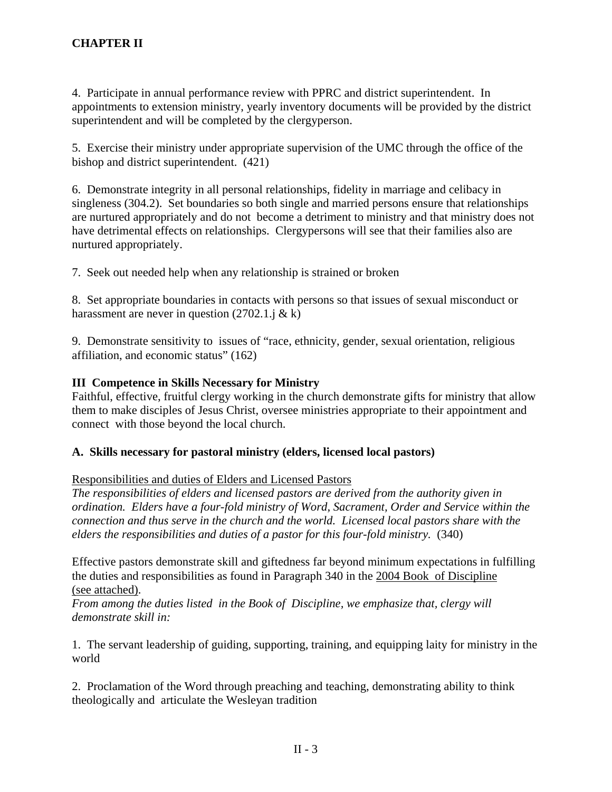4. Participate in annual performance review with PPRC and district superintendent. In appointments to extension ministry, yearly inventory documents will be provided by the district superintendent and will be completed by the clergyperson.

5. Exercise their ministry under appropriate supervision of the UMC through the office of the bishop and district superintendent. (421)

6. Demonstrate integrity in all personal relationships, fidelity in marriage and celibacy in singleness (304.2). Set boundaries so both single and married persons ensure that relationships are nurtured appropriately and do not become a detriment to ministry and that ministry does not have detrimental effects on relationships. Clergypersons will see that their families also are nurtured appropriately.

7. Seek out needed help when any relationship is strained or broken

8. Set appropriate boundaries in contacts with persons so that issues of sexual misconduct or harassment are never in question  $(2702.1.$ j & k)

9. Demonstrate sensitivity to issues of "race, ethnicity, gender, sexual orientation, religious affiliation, and economic status" (162)

### **III Competence in Skills Necessary for Ministry**

Faithful, effective, fruitful clergy working in the church demonstrate gifts for ministry that allow them to make disciples of Jesus Christ, oversee ministries appropriate to their appointment and connect with those beyond the local church.

### **A. Skills necessary for pastoral ministry (elders, licensed local pastors)**

### Responsibilities and duties of Elders and Licensed Pastors

*The responsibilities of elders and licensed pastors are derived from the authority given in ordination. Elders have a four-fold ministry of Word, Sacrament, Order and Service within the connection and thus serve in the church and the world. Licensed local pastors share with the elders the responsibilities and duties of a pastor for this four-fold ministry.* (340)

Effective pastors demonstrate skill and giftedness far beyond minimum expectations in fulfilling the duties and responsibilities as found in Paragraph 340 in the 2004 Book of Discipline (see attached).

*From among the duties listed in the Book of Discipline, we emphasize that, clergy will demonstrate skill in:* 

1. The servant leadership of guiding, supporting, training, and equipping laity for ministry in the world

2. Proclamation of the Word through preaching and teaching, demonstrating ability to think theologically and articulate the Wesleyan tradition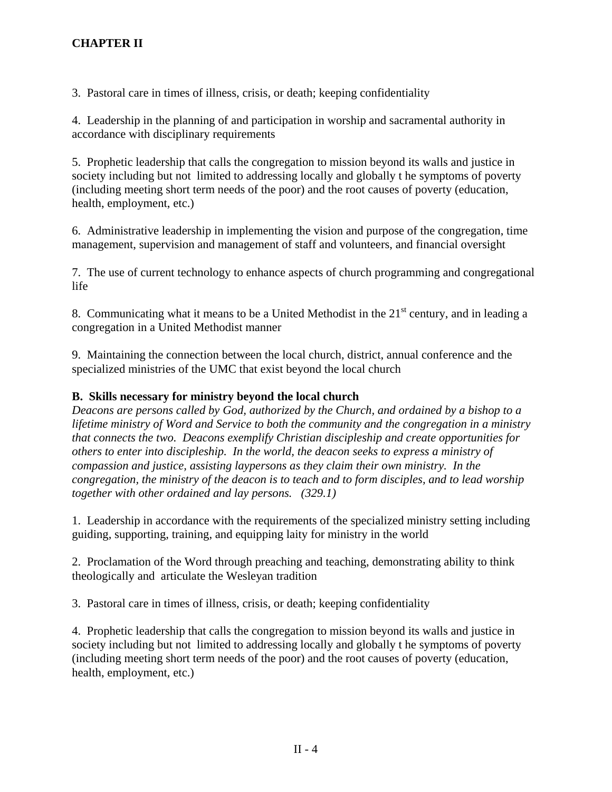3. Pastoral care in times of illness, crisis, or death; keeping confidentiality

4. Leadership in the planning of and participation in worship and sacramental authority in accordance with disciplinary requirements

5. Prophetic leadership that calls the congregation to mission beyond its walls and justice in society including but not limited to addressing locally and globally t he symptoms of poverty (including meeting short term needs of the poor) and the root causes of poverty (education, health, employment, etc.)

6. Administrative leadership in implementing the vision and purpose of the congregation, time management, supervision and management of staff and volunteers, and financial oversight

7. The use of current technology to enhance aspects of church programming and congregational life

8. Communicating what it means to be a United Methodist in the  $21<sup>st</sup>$  century, and in leading a congregation in a United Methodist manner

9. Maintaining the connection between the local church, district, annual conference and the specialized ministries of the UMC that exist beyond the local church

## **B. Skills necessary for ministry beyond the local church**

*Deacons are persons called by God, authorized by the Church, and ordained by a bishop to a lifetime ministry of Word and Service to both the community and the congregation in a ministry that connects the two. Deacons exemplify Christian discipleship and create opportunities for others to enter into discipleship. In the world, the deacon seeks to express a ministry of compassion and justice, assisting laypersons as they claim their own ministry. In the congregation, the ministry of the deacon is to teach and to form disciples, and to lead worship together with other ordained and lay persons. (329.1)* 

1. Leadership in accordance with the requirements of the specialized ministry setting including guiding, supporting, training, and equipping laity for ministry in the world

2. Proclamation of the Word through preaching and teaching, demonstrating ability to think theologically and articulate the Wesleyan tradition

3. Pastoral care in times of illness, crisis, or death; keeping confidentiality

4. Prophetic leadership that calls the congregation to mission beyond its walls and justice in society including but not limited to addressing locally and globally t he symptoms of poverty (including meeting short term needs of the poor) and the root causes of poverty (education, health, employment, etc.)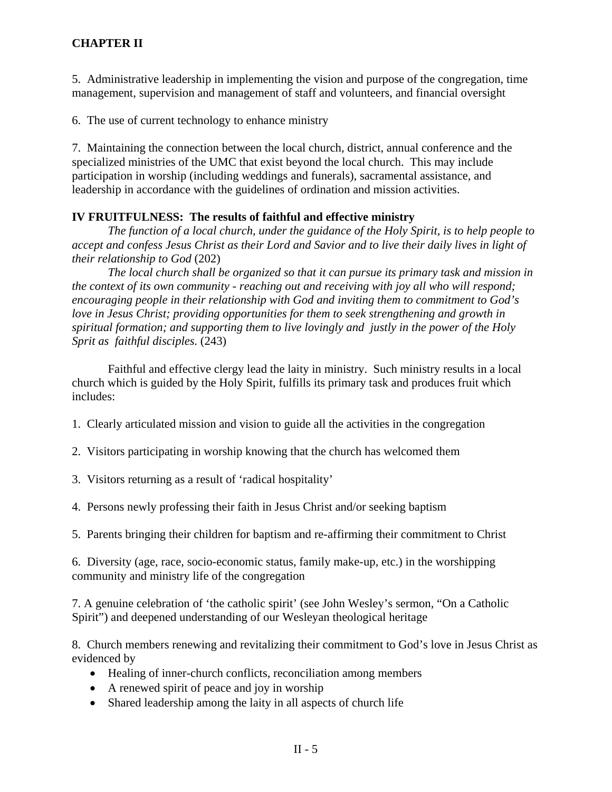5. Administrative leadership in implementing the vision and purpose of the congregation, time management, supervision and management of staff and volunteers, and financial oversight

6. The use of current technology to enhance ministry

7. Maintaining the connection between the local church, district, annual conference and the specialized ministries of the UMC that exist beyond the local church. This may include participation in worship (including weddings and funerals), sacramental assistance, and leadership in accordance with the guidelines of ordination and mission activities.

## **IV FRUITFULNESS: The results of faithful and effective ministry**

*The function of a local church, under the guidance of the Holy Spirit, is to help people to accept and confess Jesus Christ as their Lord and Savior and to live their daily lives in light of their relationship to God* (202)

*The local church shall be organized so that it can pursue its primary task and mission in the context of its own community - reaching out and receiving with joy all who will respond; encouraging people in their relationship with God and inviting them to commitment to God's love in Jesus Christ; providing opportunities for them to seek strengthening and growth in spiritual formation; and supporting them to live lovingly and justly in the power of the Holy Sprit as faithful disciples.* (243)

 Faithful and effective clergy lead the laity in ministry. Such ministry results in a local church which is guided by the Holy Spirit, fulfills its primary task and produces fruit which includes:

- 1. Clearly articulated mission and vision to guide all the activities in the congregation
- 2. Visitors participating in worship knowing that the church has welcomed them
- 3. Visitors returning as a result of 'radical hospitality'
- 4. Persons newly professing their faith in Jesus Christ and/or seeking baptism
- 5. Parents bringing their children for baptism and re-affirming their commitment to Christ

6. Diversity (age, race, socio-economic status, family make-up, etc.) in the worshipping community and ministry life of the congregation

7. A genuine celebration of 'the catholic spirit' (see John Wesley's sermon, "On a Catholic Spirit") and deepened understanding of our Wesleyan theological heritage

8. Church members renewing and revitalizing their commitment to God's love in Jesus Christ as evidenced by

- Healing of inner-church conflicts, reconciliation among members
- A renewed spirit of peace and joy in worship
- Shared leadership among the laity in all aspects of church life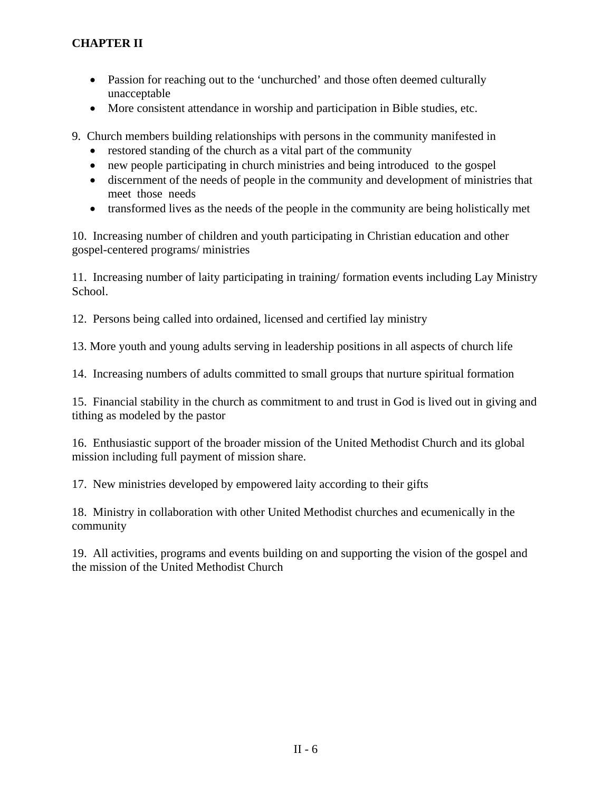- Passion for reaching out to the 'unchurched' and those often deemed culturally unacceptable
- More consistent attendance in worship and participation in Bible studies, etc.
- 9. Church members building relationships with persons in the community manifested in
	- restored standing of the church as a vital part of the community
	- new people participating in church ministries and being introduced to the gospel
	- discernment of the needs of people in the community and development of ministries that meet those needs
	- transformed lives as the needs of the people in the community are being holistically met

10. Increasing number of children and youth participating in Christian education and other gospel-centered programs/ ministries

11. Increasing number of laity participating in training/ formation events including Lay Ministry School.

12. Persons being called into ordained, licensed and certified lay ministry

13. More youth and young adults serving in leadership positions in all aspects of church life

14. Increasing numbers of adults committed to small groups that nurture spiritual formation

15. Financial stability in the church as commitment to and trust in God is lived out in giving and tithing as modeled by the pastor

16. Enthusiastic support of the broader mission of the United Methodist Church and its global mission including full payment of mission share.

17. New ministries developed by empowered laity according to their gifts

18. Ministry in collaboration with other United Methodist churches and ecumenically in the community

19. All activities, programs and events building on and supporting the vision of the gospel and the mission of the United Methodist Church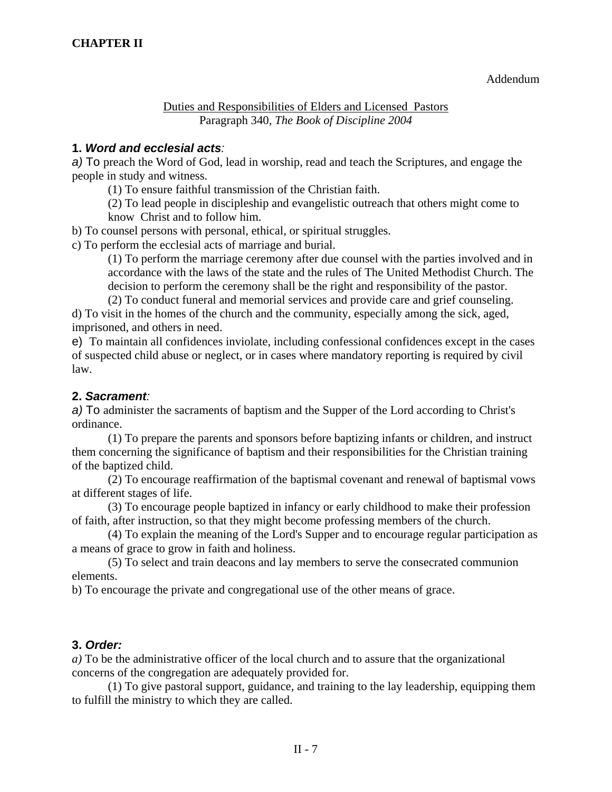Addendum

Duties and Responsibilities of Elders and Licensed Pastors Paragraph 340, *The Book of Discipline 2004* 

### **1.** *Word and ecclesial acts:*

*a)* To preach the Word of God, lead in worship, read and teach the Scriptures, and engage the people in study and witness.

(1) To ensure faithful transmission of the Christian faith.

 (2) To lead people in discipleship and evangelistic outreach that others might come to know Christ and to follow him.

b) To counsel persons with personal, ethical, or spiritual struggles.

c) To perform the ecclesial acts of marriage and burial.

 (1) To perform the marriage ceremony after due counsel with the parties involved and in accordance with the laws of the state and the rules of The United Methodist Church. The decision to perform the ceremony shall be the right and responsibility of the pastor.

 (2) To conduct funeral and memorial services and provide care and grief counseling. d) To visit in the homes of the church and the community, especially among the sick, aged, imprisoned, and others in need.

e) To maintain all confidences inviolate, including confessional confidences except in the cases of suspected child abuse or neglect, or in cases where mandatory reporting is required by civil law.

### **2.** *Sacrament:*

*a)* To administer the sacraments of baptism and the Supper of the Lord according to Christ's ordinance.

 (1) To prepare the parents and sponsors before baptizing infants or children, and instruct them concerning the significance of baptism and their responsibilities for the Christian training of the baptized child.

 (2) To encourage reaffirmation of the baptismal covenant and renewal of baptismal vows at different stages of life.

 (3) To encourage people baptized in infancy or early childhood to make their profession of faith, after instruction, so that they might become professing members of the church.

 (4) To explain the meaning of the Lord's Supper and to encourage regular participation as a means of grace to grow in faith and holiness.

 (5) To select and train deacons and lay members to serve the consecrated communion elements.

b) To encourage the private and congregational use of the other means of grace.

### **3.** *Order:*

*a)* To be the administrative officer of the local church and to assure that the organizational concerns of the congregation are adequately provided for.

 (1) To give pastoral support, guidance, and training to the lay leadership, equipping them to fulfill the ministry to which they are called.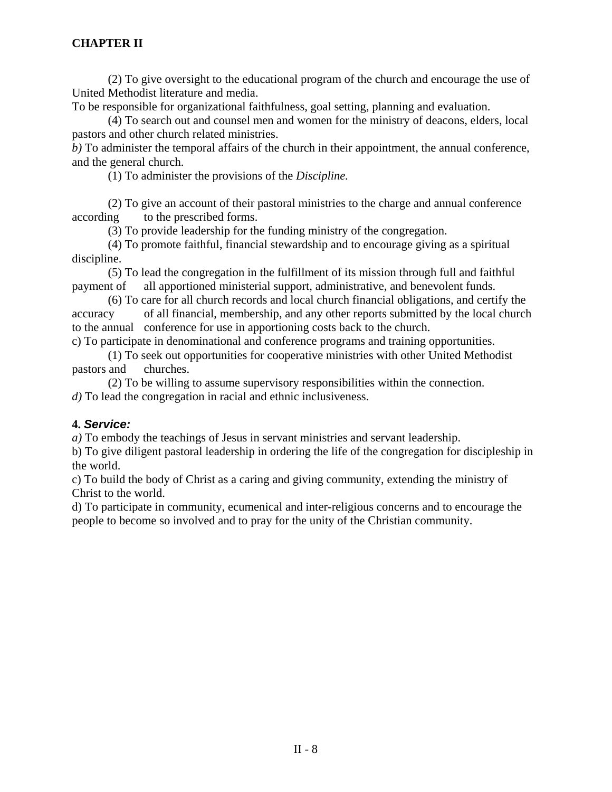(2) To give oversight to the educational program of the church and encourage the use of United Methodist literature and media.

To be responsible for organizational faithfulness, goal setting, planning and evaluation.

 (4) To search out and counsel men and women for the ministry of deacons, elders, local pastors and other church related ministries.

*b)* To administer the temporal affairs of the church in their appointment, the annual conference, and the general church.

(1) To administer the provisions of the *Discipline.* 

 (2) To give an account of their pastoral ministries to the charge and annual conference according to the prescribed forms.

(3) To provide leadership for the funding ministry of the congregation.

 (4) To promote faithful, financial stewardship and to encourage giving as a spiritual discipline.

 (5) To lead the congregation in the fulfillment of its mission through full and faithful payment of all apportioned ministerial support, administrative, and benevolent funds.

 (6) To care for all church records and local church financial obligations, and certify the accuracy of all financial, membership, and any other reports submitted by the local church to the annual conference for use in apportioning costs back to the church.

c) To participate in denominational and conference programs and training opportunities.

 (1) To seek out opportunities for cooperative ministries with other United Methodist pastors and churches.

 (2) To be willing to assume supervisory responsibilities within the connection. *d)* To lead the congregation in racial and ethnic inclusiveness.

### **4.** *Service:*

*a)* To embody the teachings of Jesus in servant ministries and servant leadership.

b) To give diligent pastoral leadership in ordering the life of the congregation for discipleship in the world.

c) To build the body of Christ as a caring and giving community, extending the ministry of Christ to the world.

d) To participate in community, ecumenical and inter-religious concerns and to encourage the people to become so involved and to pray for the unity of the Christian community.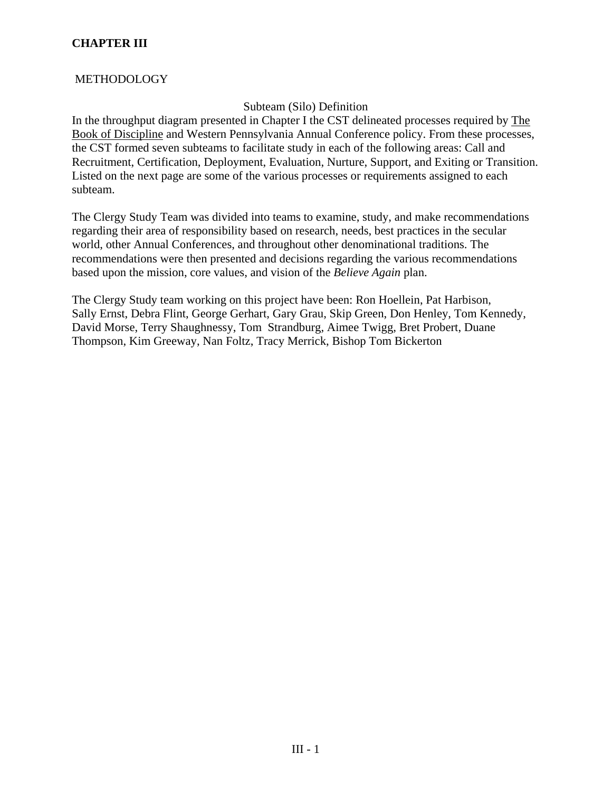### **METHODOLOGY**

### Subteam (Silo) Definition

In the throughput diagram presented in Chapter I the CST delineated processes required by The Book of Discipline and Western Pennsylvania Annual Conference policy. From these processes, the CST formed seven subteams to facilitate study in each of the following areas: Call and Recruitment, Certification, Deployment, Evaluation, Nurture, Support, and Exiting or Transition. Listed on the next page are some of the various processes or requirements assigned to each subteam.

The Clergy Study Team was divided into teams to examine, study, and make recommendations regarding their area of responsibility based on research, needs, best practices in the secular world, other Annual Conferences, and throughout other denominational traditions. The recommendations were then presented and decisions regarding the various recommendations based upon the mission, core values, and vision of the *Believe Again* plan.

The Clergy Study team working on this project have been: Ron Hoellein, Pat Harbison, Sally Ernst, Debra Flint, George Gerhart, Gary Grau, Skip Green, Don Henley, Tom Kennedy, David Morse, Terry Shaughnessy, Tom Strandburg, Aimee Twigg, Bret Probert, Duane Thompson, Kim Greeway, Nan Foltz, Tracy Merrick, Bishop Tom Bickerton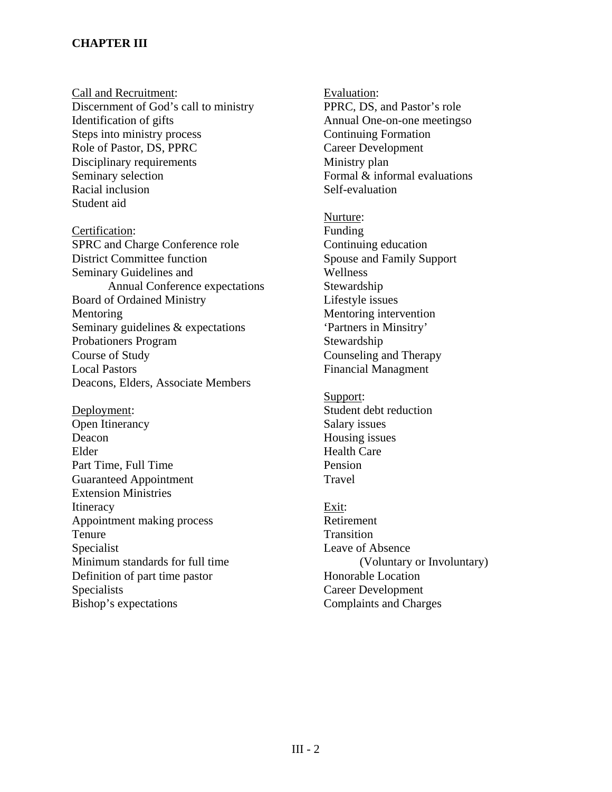Call and Recruitment: Discernment of God's call to ministry Identification of gifts Steps into ministry process Role of Pastor, DS, PPRC Disciplinary requirements Seminary selection Racial inclusion Student aid

Certification: SPRC and Charge Conference role District Committee function Seminary Guidelines and Annual Conference expectations Board of Ordained Ministry Mentoring Seminary guidelines & expectations Probationers Program Course of Study Local Pastors Deacons, Elders, Associate Members

Deployment: Open Itinerancy Deacon Elder Part Time, Full Time Guaranteed Appointment Extension Ministries **Itineracy** Appointment making process Tenure Specialist Minimum standards for full time Definition of part time pastor Specialists Bishop's expectations

Evaluation: PPRC, DS, and Pastor's role Annual One-on-one meetingso Continuing Formation Career Development Ministry plan Formal & informal evaluations Self-evaluation

Nurture: Funding Continuing education Spouse and Family Support Wellness Stewardship Lifestyle issues Mentoring intervention 'Partners in Minsitry' Stewardship Counseling and Therapy Financial Managment

Support: Student debt reduction Salary issues Housing issues Health Care Pension Travel

Exit: Retirement **Transition** Leave of Absence (Voluntary or Involuntary) Honorable Location Career Development Complaints and Charges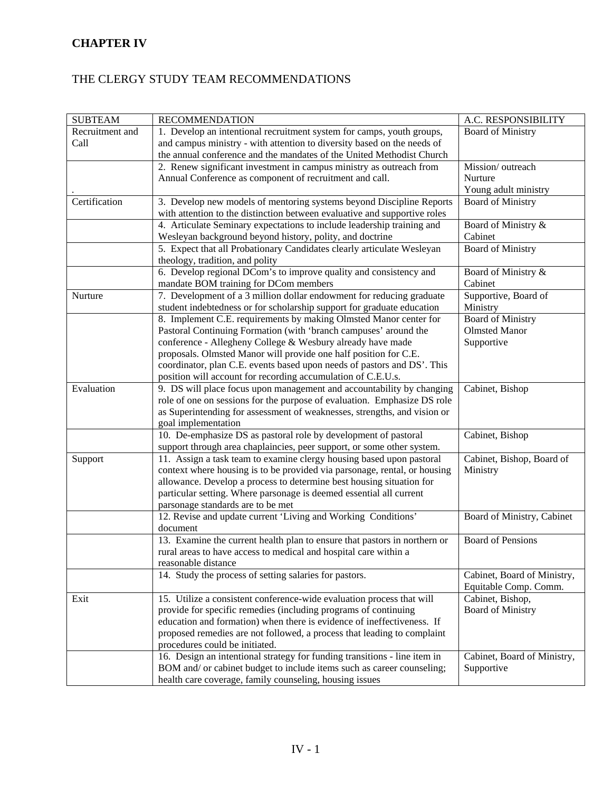## **CHAPTER IV**

## THE CLERGY STUDY TEAM RECOMMENDATIONS

| <b>SUBTEAM</b>  | <b>RECOMMENDATION</b>                                                     | A.C. RESPONSIBILITY         |
|-----------------|---------------------------------------------------------------------------|-----------------------------|
| Recruitment and | 1. Develop an intentional recruitment system for camps, youth groups,     | <b>Board of Ministry</b>    |
| Call            | and campus ministry - with attention to diversity based on the needs of   |                             |
|                 | the annual conference and the mandates of the United Methodist Church     |                             |
|                 | 2. Renew significant investment in campus ministry as outreach from       | Mission/outreach            |
|                 | Annual Conference as component of recruitment and call.                   | Nurture                     |
|                 |                                                                           | Young adult ministry        |
| Certification   | 3. Develop new models of mentoring systems beyond Discipline Reports      | <b>Board of Ministry</b>    |
|                 | with attention to the distinction between evaluative and supportive roles |                             |
|                 | 4. Articulate Seminary expectations to include leadership training and    | Board of Ministry &         |
|                 | Wesleyan background beyond history, polity, and doctrine                  | Cabinet                     |
|                 | 5. Expect that all Probationary Candidates clearly articulate Wesleyan    | <b>Board of Ministry</b>    |
|                 |                                                                           |                             |
|                 | theology, tradition, and polity                                           |                             |
|                 | 6. Develop regional DCom's to improve quality and consistency and         | Board of Ministry &         |
|                 | mandate BOM training for DCom members                                     | Cabinet                     |
| Nurture         | 7. Development of a 3 million dollar endowment for reducing graduate      | Supportive, Board of        |
|                 | student indebtedness or for scholarship support for graduate education    | Ministry                    |
|                 | 8. Implement C.E. requirements by making Olmsted Manor center for         | <b>Board of Ministry</b>    |
|                 | Pastoral Continuing Formation (with 'branch campuses' around the          | <b>Olmsted Manor</b>        |
|                 | conference - Allegheny College & Wesbury already have made                | Supportive                  |
|                 | proposals. Olmsted Manor will provide one half position for C.E.          |                             |
|                 | coordinator, plan C.E. events based upon needs of pastors and DS'. This   |                             |
|                 | position will account for recording accumulation of C.E.U.s.              |                             |
| Evaluation      | 9. DS will place focus upon management and accountability by changing     | Cabinet, Bishop             |
|                 | role of one on sessions for the purpose of evaluation. Emphasize DS role  |                             |
|                 | as Superintending for assessment of weaknesses, strengths, and vision or  |                             |
|                 | goal implementation                                                       |                             |
|                 | 10. De-emphasize DS as pastoral role by development of pastoral           | Cabinet, Bishop             |
|                 | support through area chaplaincies, peer support, or some other system.    |                             |
| Support         | 11. Assign a task team to examine clergy housing based upon pastoral      | Cabinet, Bishop, Board of   |
|                 | context where housing is to be provided via parsonage, rental, or housing | Ministry                    |
|                 | allowance. Develop a process to determine best housing situation for      |                             |
|                 | particular setting. Where parsonage is deemed essential all current       |                             |
|                 | parsonage standards are to be met                                         |                             |
|                 | 12. Revise and update current 'Living and Working Conditions'             | Board of Ministry, Cabinet  |
|                 | document                                                                  |                             |
|                 | 13. Examine the current health plan to ensure that pastors in northern or | <b>Board of Pensions</b>    |
|                 | rural areas to have access to medical and hospital care within a          |                             |
|                 | reasonable distance                                                       |                             |
|                 | 14. Study the process of setting salaries for pastors.                    | Cabinet, Board of Ministry, |
|                 |                                                                           | Equitable Comp. Comm.       |
| Exit            | 15. Utilize a consistent conference-wide evaluation process that will     | Cabinet, Bishop,            |
|                 | provide for specific remedies (including programs of continuing           |                             |
|                 |                                                                           | <b>Board of Ministry</b>    |
|                 | education and formation) when there is evidence of ineffectiveness. If    |                             |
|                 | proposed remedies are not followed, a process that leading to complaint   |                             |
|                 | procedures could be initiated.                                            |                             |
|                 | 16. Design an intentional strategy for funding transitions - line item in | Cabinet, Board of Ministry, |
|                 | BOM and/ or cabinet budget to include items such as career counseling;    | Supportive                  |
|                 | health care coverage, family counseling, housing issues                   |                             |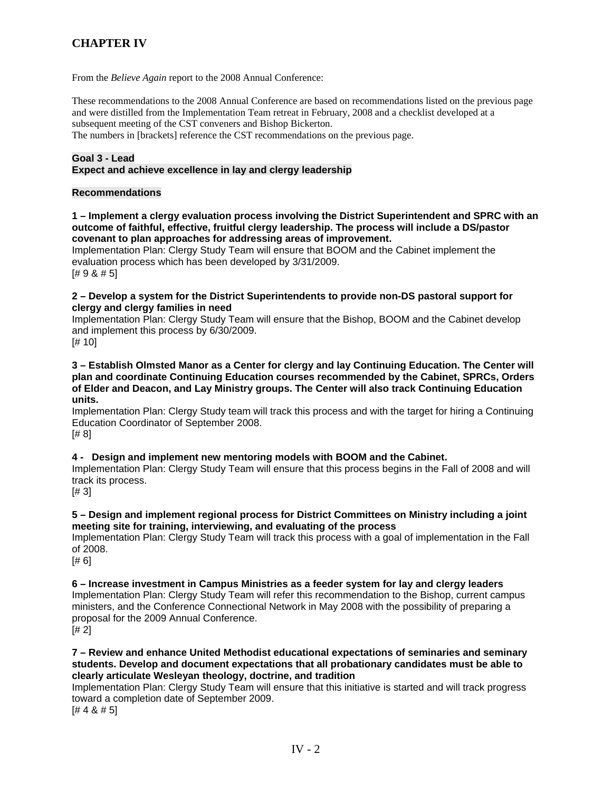## **CHAPTER IV**

From the *Believe Again* report to the 2008 Annual Conference:

These recommendations to the 2008 Annual Conference are based on recommendations listed on the previous page and were distilled from the Implementation Team retreat in February, 2008 and a checklist developed at a subsequent meeting of the CST conveners and Bishop Bickerton.

The numbers in [brackets] reference the CST recommendations on the previous page.

#### **Goal 3 - Lead Expect and achieve excellence in lay and clergy leadership**

#### **Recommendations**

**1 – Implement a clergy evaluation process involving the District Superintendent and SPRC with an outcome of faithful, effective, fruitful clergy leadership. The process will include a DS/pastor covenant to plan approaches for addressing areas of improvement.** 

Implementation Plan: Clergy Study Team will ensure that BOOM and the Cabinet implement the evaluation process which has been developed by 3/31/2009. [# 9 & # 5]

**2 – Develop a system for the District Superintendents to provide non-DS pastoral support for clergy and clergy families in need**

Implementation Plan: Clergy Study Team will ensure that the Bishop, BOOM and the Cabinet develop and implement this process by 6/30/2009.

[# 10]

**3 – Establish Olmsted Manor as a Center for clergy and lay Continuing Education. The Center will plan and coordinate Continuing Education courses recommended by the Cabinet, SPRCs, Orders of Elder and Deacon, and Lay Ministry groups. The Center will also track Continuing Education units.** 

Implementation Plan: Clergy Study team will track this process and with the target for hiring a Continuing Education Coordinator of September 2008.

[# 8]

#### **4 - Design and implement new mentoring models with BOOM and the Cabinet.**

Implementation Plan: Clergy Study Team will ensure that this process begins in the Fall of 2008 and will track its process.

[# 3]

#### **5 – Design and implement regional process for District Committees on Ministry including a joint meeting site for training, interviewing, and evaluating of the process**

Implementation Plan: Clergy Study Team will track this process with a goal of implementation in the Fall of 2008.

[# 6]

**6 – Increase investment in Campus Ministries as a feeder system for lay and clergy leaders**  Implementation Plan: Clergy Study Team will refer this recommendation to the Bishop, current campus ministers, and the Conference Connectional Network in May 2008 with the possibility of preparing a proposal for the 2009 Annual Conference.  $[# 2]$ 

#### **7 – Review and enhance United Methodist educational expectations of seminaries and seminary students. Develop and document expectations that all probationary candidates must be able to clearly articulate Wesleyan theology, doctrine, and tradition**

Implementation Plan: Clergy Study Team will ensure that this initiative is started and will track progress toward a completion date of September 2009.

 $[# 4 8 # 5]$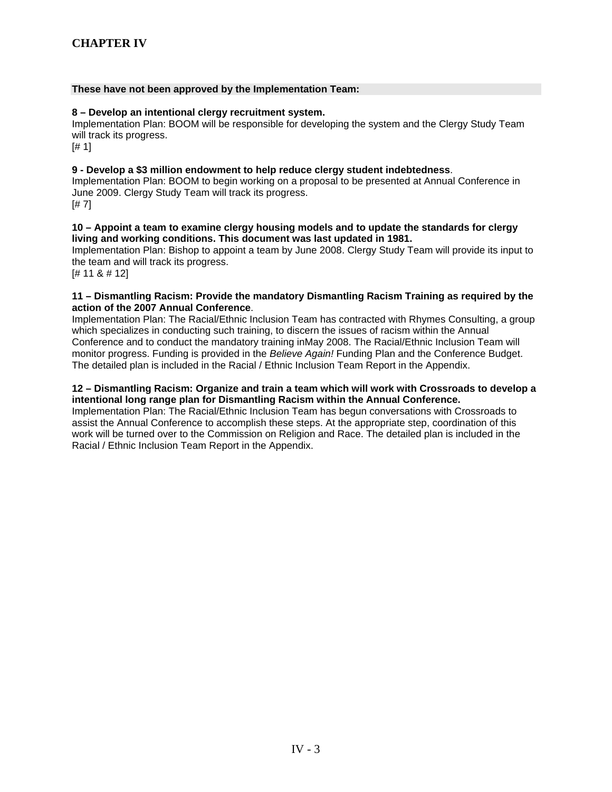#### **These have not been approved by the Implementation Team:**

#### **8 – Develop an intentional clergy recruitment system.**

Implementation Plan: BOOM will be responsible for developing the system and the Clergy Study Team will track its progress.

[# 1]

#### **9 - Develop a \$3 million endowment to help reduce clergy student indebtedness**.

Implementation Plan: BOOM to begin working on a proposal to be presented at Annual Conference in June 2009. Clergy Study Team will track its progress. [# 7]

#### **10 – Appoint a team to examine clergy housing models and to update the standards for clergy living and working conditions. This document was last updated in 1981.**

Implementation Plan: Bishop to appoint a team by June 2008. Clergy Study Team will provide its input to the team and will track its progress.

[# 11 & # 12]

#### **11 – Dismantling Racism: Provide the mandatory Dismantling Racism Training as required by the action of the 2007 Annual Conference**.

Implementation Plan: The Racial/Ethnic Inclusion Team has contracted with Rhymes Consulting, a group which specializes in conducting such training, to discern the issues of racism within the Annual Conference and to conduct the mandatory training inMay 2008. The Racial/Ethnic Inclusion Team will monitor progress. Funding is provided in the *Believe Again!* Funding Plan and the Conference Budget. The detailed plan is included in the Racial / Ethnic Inclusion Team Report in the Appendix.

#### **12 – Dismantling Racism: Organize and train a team which will work with Crossroads to develop a intentional long range plan for Dismantling Racism within the Annual Conference.**

Implementation Plan: The Racial/Ethnic Inclusion Team has begun conversations with Crossroads to assist the Annual Conference to accomplish these steps. At the appropriate step, coordination of this work will be turned over to the Commission on Religion and Race. The detailed plan is included in the Racial / Ethnic Inclusion Team Report in the Appendix.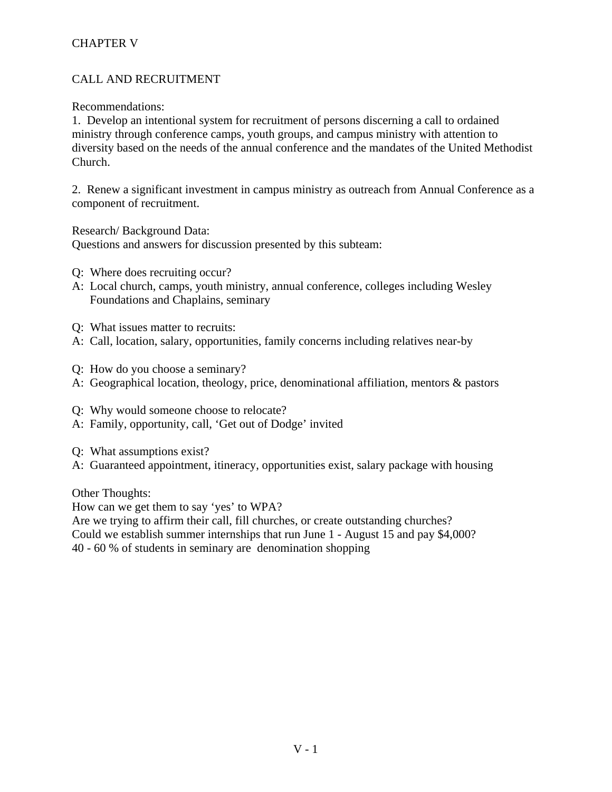## CHAPTER V

## CALL AND RECRUITMENT

Recommendations:

1. Develop an intentional system for recruitment of persons discerning a call to ordained ministry through conference camps, youth groups, and campus ministry with attention to diversity based on the needs of the annual conference and the mandates of the United Methodist Church.

2. Renew a significant investment in campus ministry as outreach from Annual Conference as a component of recruitment.

Research/ Background Data:

Questions and answers for discussion presented by this subteam:

- Q: Where does recruiting occur?
- A: Local church, camps, youth ministry, annual conference, colleges including Wesley Foundations and Chaplains, seminary
- Q: What issues matter to recruits:
- A: Call, location, salary, opportunities, family concerns including relatives near-by
- Q: How do you choose a seminary?
- A: Geographical location, theology, price, denominational affiliation, mentors & pastors
- Q: Why would someone choose to relocate?
- A: Family, opportunity, call, 'Get out of Dodge' invited
- Q: What assumptions exist?
- A: Guaranteed appointment, itineracy, opportunities exist, salary package with housing

Other Thoughts:

How can we get them to say 'yes' to WPA?

Are we trying to affirm their call, fill churches, or create outstanding churches?

Could we establish summer internships that run June 1 - August 15 and pay \$4,000?

40 - 60 % of students in seminary are denomination shopping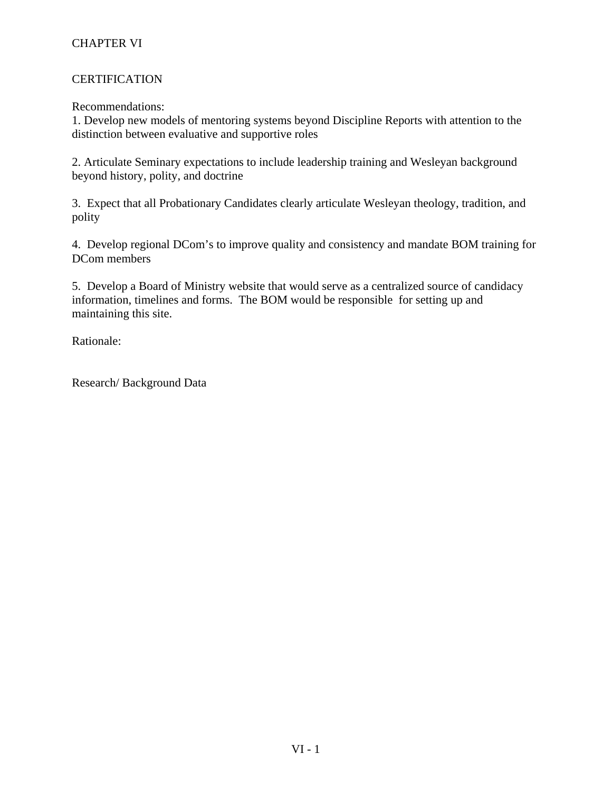### **CERTIFICATION**

Recommendations:

1. Develop new models of mentoring systems beyond Discipline Reports with attention to the distinction between evaluative and supportive roles

2. Articulate Seminary expectations to include leadership training and Wesleyan background beyond history, polity, and doctrine

3. Expect that all Probationary Candidates clearly articulate Wesleyan theology, tradition, and polity

4. Develop regional DCom's to improve quality and consistency and mandate BOM training for DCom members

5. Develop a Board of Ministry website that would serve as a centralized source of candidacy information, timelines and forms. The BOM would be responsible for setting up and maintaining this site.

Rationale:

Research/ Background Data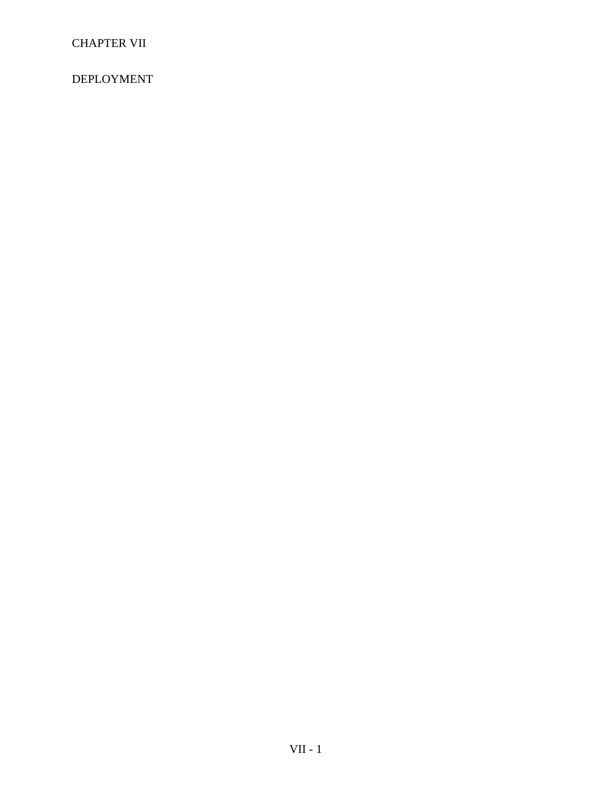DEPLOYMENT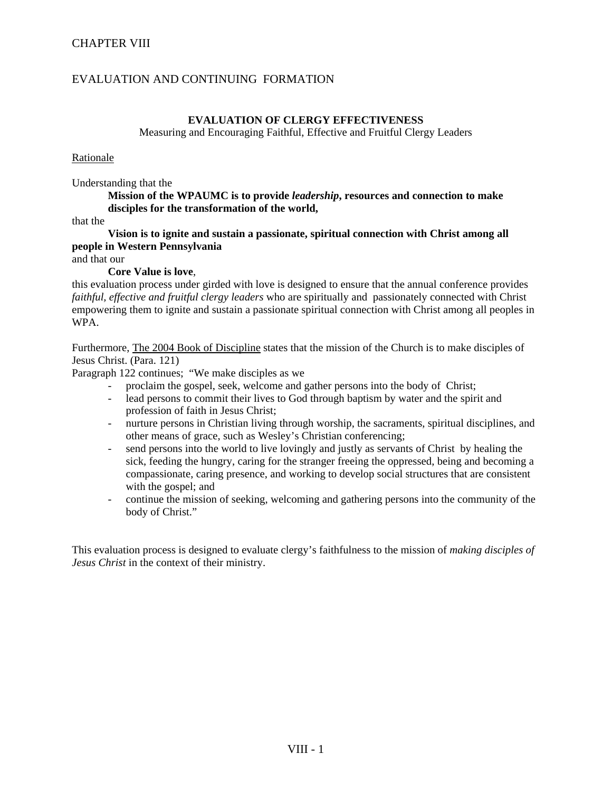### EVALUATION AND CONTINUING FORMATION

#### **EVALUATION OF CLERGY EFFECTIVENESS**

Measuring and Encouraging Faithful, Effective and Fruitful Clergy Leaders

#### Rationale

Understanding that the

 **Mission of the WPAUMC is to provide** *leadership***, resources and connection to make disciples for the transformation of the world,** 

that the

 **Vision is to ignite and sustain a passionate, spiritual connection with Christ among all people in Western Pennsylvania** 

and that our

#### **Core Value is love**,

this evaluation process under girded with love is designed to ensure that the annual conference provides *faithful, effective and fruitful clergy leaders* who are spiritually and passionately connected with Christ empowering them to ignite and sustain a passionate spiritual connection with Christ among all peoples in WPA.

Furthermore, The 2004 Book of Discipline states that the mission of the Church is to make disciples of Jesus Christ. (Para. 121)

Paragraph 122 continues; "We make disciples as we

- proclaim the gospel, seek, welcome and gather persons into the body of Christ;
- lead persons to commit their lives to God through baptism by water and the spirit and profession of faith in Jesus Christ;
- nurture persons in Christian living through worship, the sacraments, spiritual disciplines, and other means of grace, such as Wesley's Christian conferencing;
- send persons into the world to live lovingly and justly as servants of Christ by healing the sick, feeding the hungry, caring for the stranger freeing the oppressed, being and becoming a compassionate, caring presence, and working to develop social structures that are consistent with the gospel; and
- continue the mission of seeking, welcoming and gathering persons into the community of the body of Christ."

This evaluation process is designed to evaluate clergy's faithfulness to the mission of *making disciples of Jesus Christ* in the context of their ministry.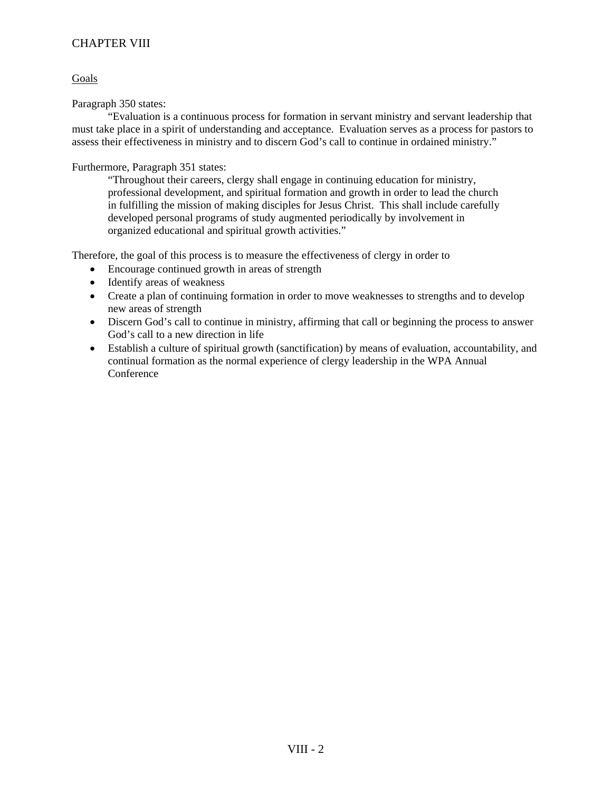#### Goals

Paragraph 350 states:

 "Evaluation is a continuous process for formation in servant ministry and servant leadership that must take place in a spirit of understanding and acceptance. Evaluation serves as a process for pastors to assess their effectiveness in ministry and to discern God's call to continue in ordained ministry."

Furthermore, Paragraph 351 states:

 "Throughout their careers, clergy shall engage in continuing education for ministry, professional development, and spiritual formation and growth in order to lead the church in fulfilling the mission of making disciples for Jesus Christ. This shall include carefully developed personal programs of study augmented periodically by involvement in organized educational and spiritual growth activities."

Therefore, the goal of this process is to measure the effectiveness of clergy in order to

- Encourage continued growth in areas of strength
- Identify areas of weakness
- Create a plan of continuing formation in order to move weaknesses to strengths and to develop new areas of strength
- Discern God's call to continue in ministry, affirming that call or beginning the process to answer God's call to a new direction in life
- Establish a culture of spiritual growth (sanctification) by means of evaluation, accountability, and continual formation as the normal experience of clergy leadership in the WPA Annual Conference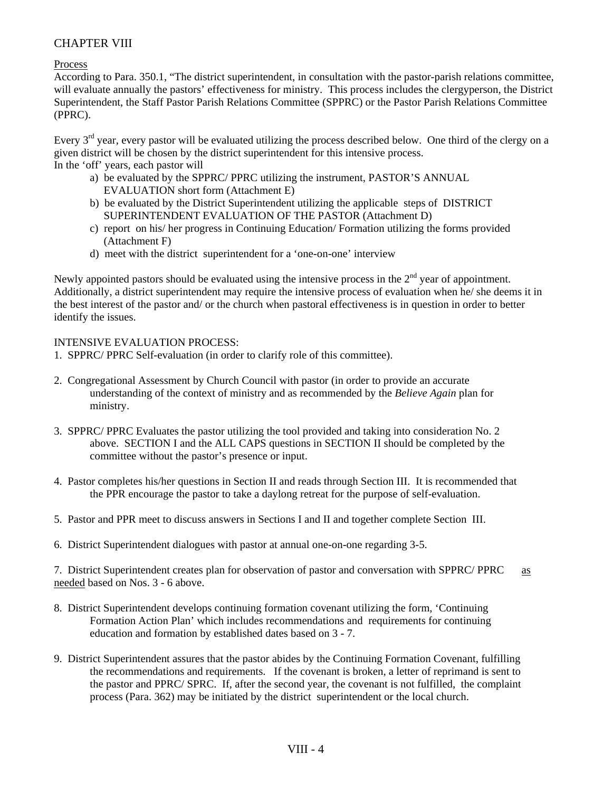**Process** 

According to Para. 350.1, "The district superintendent, in consultation with the pastor-parish relations committee, will evaluate annually the pastors' effectiveness for ministry. This process includes the clergyperson, the District Superintendent, the Staff Pastor Parish Relations Committee (SPPRC) or the Pastor Parish Relations Committee (PPRC).

Every  $3<sup>rd</sup>$  year, every pastor will be evaluated utilizing the process described below. One third of the clergy on a given district will be chosen by the district superintendent for this intensive process. In the 'off' years, each pastor will

- a) be evaluated by the SPPRC/ PPRC utilizing the instrument, PASTOR'S ANNUAL EVALUATION short form (Attachment E)
- b) be evaluated by the District Superintendent utilizing the applicable steps of DISTRICT SUPERINTENDENT EVALUATION OF THE PASTOR (Attachment D)
- c) report on his/ her progress in Continuing Education/ Formation utilizing the forms provided (Attachment F)
- d) meet with the district superintendent for a 'one-on-one' interview

Newly appointed pastors should be evaluated using the intensive process in the  $2<sup>nd</sup>$  year of appointment. Additionally, a district superintendent may require the intensive process of evaluation when he/ she deems it in the best interest of the pastor and/ or the church when pastoral effectiveness is in question in order to better identify the issues.

### INTENSIVE EVALUATION PROCESS:

- 1. SPPRC/ PPRC Self-evaluation (in order to clarify role of this committee).
- 2. Congregational Assessment by Church Council with pastor (in order to provide an accurate understanding of the context of ministry and as recommended by the *Believe Again* plan for ministry.
- 3. SPPRC/ PPRC Evaluates the pastor utilizing the tool provided and taking into consideration No. 2 above. SECTION I and the ALL CAPS questions in SECTION II should be completed by the committee without the pastor's presence or input.
- 4. Pastor completes his/her questions in Section II and reads through Section III. It is recommended that the PPR encourage the pastor to take a daylong retreat for the purpose of self-evaluation.
- 5. Pastor and PPR meet to discuss answers in Sections I and II and together complete Section III.
- 6. District Superintendent dialogues with pastor at annual one-on-one regarding 3-5.

7. District Superintendent creates plan for observation of pastor and conversation with SPPRC/ PPRC as needed based on Nos. 3 - 6 above.

- 8. District Superintendent develops continuing formation covenant utilizing the form, 'Continuing Formation Action Plan' which includes recommendations and requirements for continuing education and formation by established dates based on 3 - 7.
- 9. District Superintendent assures that the pastor abides by the Continuing Formation Covenant, fulfilling the recommendations and requirements. If the covenant is broken, a letter of reprimand is sent to the pastor and PPRC/ SPRC. If, after the second year, the covenant is not fulfilled, the complaint process (Para. 362) may be initiated by the district superintendent or the local church.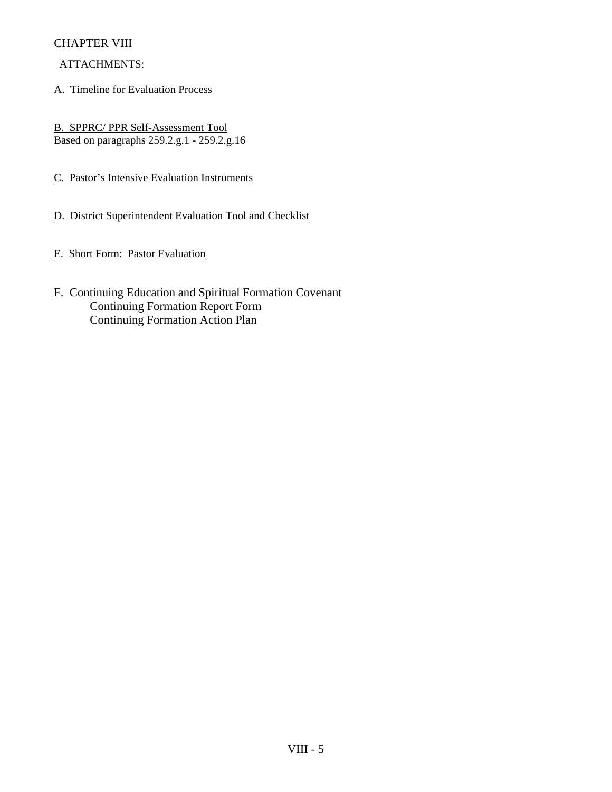## ATTACHMENTS:

A. Timeline for Evaluation Process

B. SPPRC/ PPR Self-Assessment Tool Based on paragraphs 259.2.g.1 - 259.2.g.16

C. Pastor's Intensive Evaluation Instruments

D. District Superintendent Evaluation Tool and Checklist

E. Short Form: Pastor Evaluation

F. Continuing Education and Spiritual Formation Covenant Continuing Formation Report Form Continuing Formation Action Plan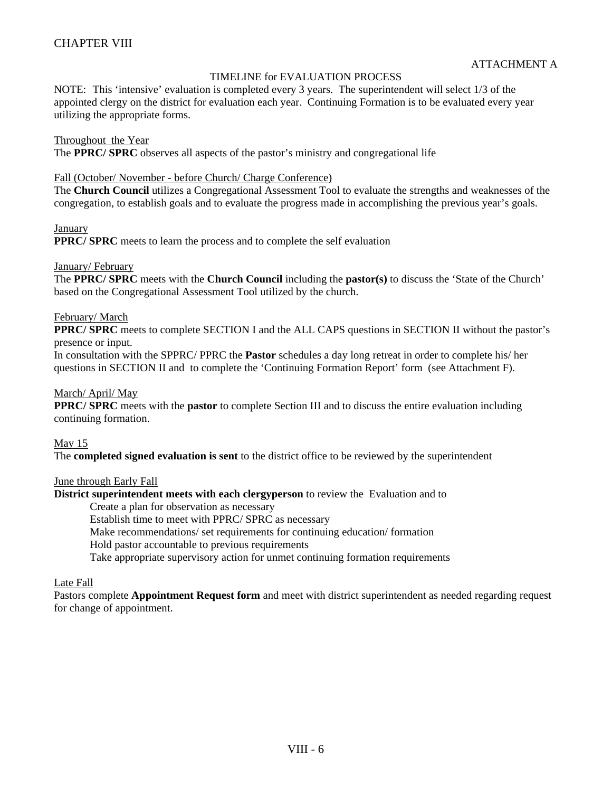### TIMELINE for EVALUATION PROCESS

NOTE: This 'intensive' evaluation is completed every 3 years. The superintendent will select 1/3 of the appointed clergy on the district for evaluation each year. Continuing Formation is to be evaluated every year utilizing the appropriate forms.

#### Throughout the Year

The **PPRC/ SPRC** observes all aspects of the pastor's ministry and congregational life

#### Fall (October/ November - before Church/ Charge Conference)

The **Church Council** utilizes a Congregational Assessment Tool to evaluate the strengths and weaknesses of the congregation, to establish goals and to evaluate the progress made in accomplishing the previous year's goals.

#### January

**PPRC/ SPRC** meets to learn the process and to complete the self evaluation

#### January/ February

The **PPRC/ SPRC** meets with the **Church Council** including the **pastor(s)** to discuss the 'State of the Church' based on the Congregational Assessment Tool utilized by the church.

#### February/ March

**PPRC/ SPRC** meets to complete SECTION I and the ALL CAPS questions in SECTION II without the pastor's presence or input.

In consultation with the SPPRC/ PPRC the **Pastor** schedules a day long retreat in order to complete his/ her questions in SECTION II and to complete the 'Continuing Formation Report' form (see Attachment F).

#### March/ April/ May

**PPRC/ SPRC** meets with the **pastor** to complete Section III and to discuss the entire evaluation including continuing formation.

#### May 15

The **completed signed evaluation is sent** to the district office to be reviewed by the superintendent

#### June through Early Fall

**District superintendent meets with each clergyperson** to review the Evaluation and to

Create a plan for observation as necessary

Establish time to meet with PPRC/ SPRC as necessary

Make recommendations/ set requirements for continuing education/ formation

Hold pastor accountable to previous requirements

Take appropriate supervisory action for unmet continuing formation requirements

#### Late Fall

Pastors complete **Appointment Request form** and meet with district superintendent as needed regarding request for change of appointment.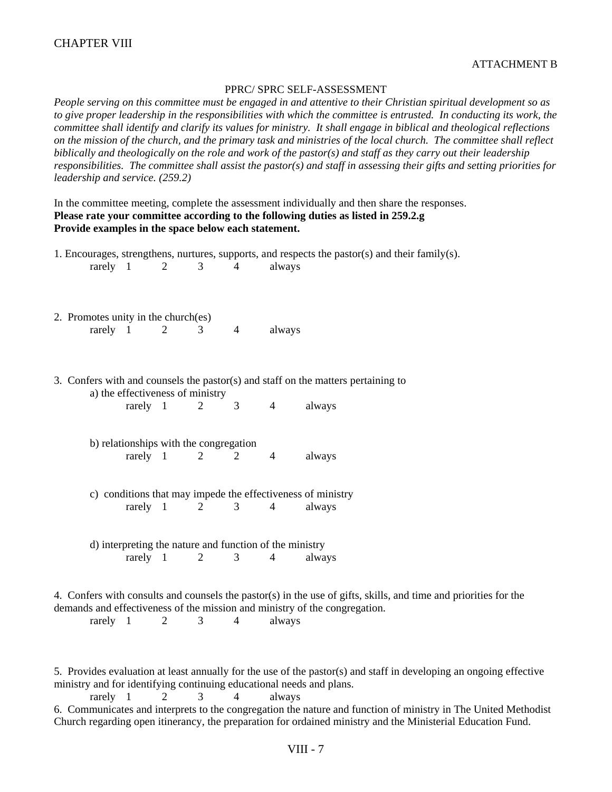#### PPRC/ SPRC SELF-ASSESSMENT

*People serving on this committee must be engaged in and attentive to their Christian spiritual development so as*  to give proper leadership in the responsibilities with which the committee is entrusted. In conducting its work, the *committee shall identify and clarify its values for ministry. It shall engage in biblical and theological reflections on the mission of the church, and the primary task and ministries of the local church. The committee shall reflect biblically and theologically on the role and work of the pastor(s) and staff as they carry out their leadership responsibilities. The committee shall assist the pastor(s) and staff in assessing their gifts and setting priorities for leadership and service. (259.2)* 

In the committee meeting, complete the assessment individually and then share the responses. **Please rate your committee according to the following duties as listed in 259.2.g Provide examples in the space below each statement.** 

|                                                                                                                                                                                                                                                    |          | $rarely \quad 1$                                        | $\overline{2}$ | 3              | $\overline{4}$ | always         | 1. Encourages, strengthens, nurtures, supports, and respects the pastor(s) and their family(s). |  |  |  |
|----------------------------------------------------------------------------------------------------------------------------------------------------------------------------------------------------------------------------------------------------|----------|---------------------------------------------------------|----------------|----------------|----------------|----------------|-------------------------------------------------------------------------------------------------|--|--|--|
|                                                                                                                                                                                                                                                    | rarely 1 | 2. Promotes unity in the church(es)                     | 2              | 3 <sup>7</sup> | $\overline{4}$ | always         |                                                                                                 |  |  |  |
| 3. Confers with and counsels the pastor(s) and staff on the matters pertaining to<br>a) the effectiveness of ministry                                                                                                                              |          |                                                         |                |                |                |                |                                                                                                 |  |  |  |
|                                                                                                                                                                                                                                                    |          | rarely 1                                                |                | 2              | 3              | $\overline{4}$ | always                                                                                          |  |  |  |
|                                                                                                                                                                                                                                                    |          | b) relationships with the congregation                  |                |                |                |                |                                                                                                 |  |  |  |
|                                                                                                                                                                                                                                                    |          |                                                         | rarely 1       | 2              | 2              | $\overline{4}$ | always                                                                                          |  |  |  |
|                                                                                                                                                                                                                                                    |          |                                                         |                |                |                |                | c) conditions that may impede the effectiveness of ministry                                     |  |  |  |
|                                                                                                                                                                                                                                                    |          |                                                         | rarely 1       | 2              | 3              | $\overline{4}$ | always                                                                                          |  |  |  |
|                                                                                                                                                                                                                                                    |          | d) interpreting the nature and function of the ministry | $rarely$ 1     | $\overline{2}$ | 3              | $\overline{4}$ | always                                                                                          |  |  |  |
| 4. Confers with consults and counsels the pastor(s) in the use of gifts, skills, and time and priorities for the<br>demands and effectiveness of the mission and ministry of the congregation.<br>$\overline{4}$<br>rarely $1$<br>2<br>3<br>always |          |                                                         |                |                |                |                |                                                                                                 |  |  |  |

5. Provides evaluation at least annually for the use of the pastor(s) and staff in developing an ongoing effective ministry and for identifying continuing educational needs and plans.

rarely  $1 \t 2 \t 3 \t 4$  always 6. Communicates and interprets to the congregation the nature and function of ministry in The United Methodist Church regarding open itinerancy, the preparation for ordained ministry and the Ministerial Education Fund.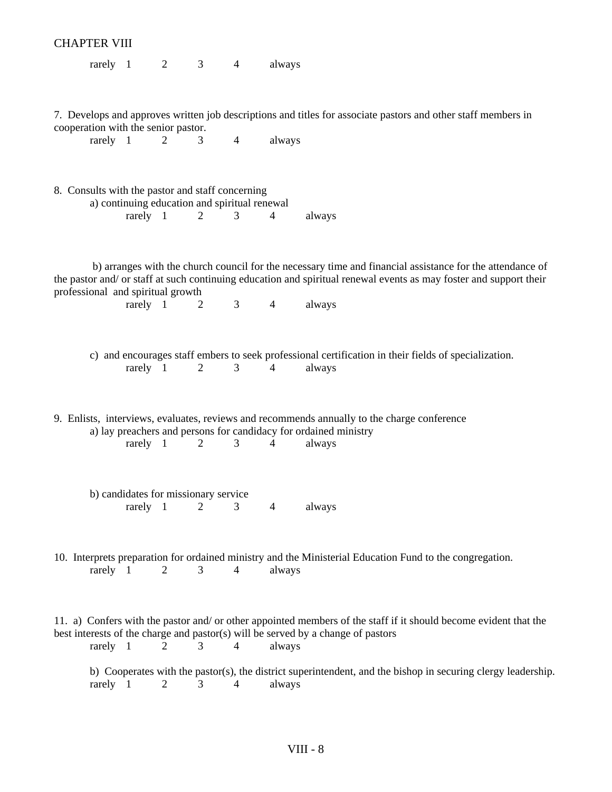|                                                                                                                                                                                                                                                                                                                                                                                                                                                                         | <b>CHAPTER VIII</b> |                  |                                          |                |                |                |                                                                                                                                                                                                                                 |  |  |  |
|-------------------------------------------------------------------------------------------------------------------------------------------------------------------------------------------------------------------------------------------------------------------------------------------------------------------------------------------------------------------------------------------------------------------------------------------------------------------------|---------------------|------------------|------------------------------------------|----------------|----------------|----------------|---------------------------------------------------------------------------------------------------------------------------------------------------------------------------------------------------------------------------------|--|--|--|
|                                                                                                                                                                                                                                                                                                                                                                                                                                                                         |                     | $rarely \quad 1$ | $\overline{2}$                           | $\mathfrak{Z}$ | $\overline{4}$ | always         |                                                                                                                                                                                                                                 |  |  |  |
|                                                                                                                                                                                                                                                                                                                                                                                                                                                                         | rarely 1            |                  | cooperation with the senior pastor.<br>2 | 3              | $\overline{4}$ | always         | 7. Develops and approves written job descriptions and titles for associate pastors and other staff members in                                                                                                                   |  |  |  |
|                                                                                                                                                                                                                                                                                                                                                                                                                                                                         |                     |                  |                                          |                |                |                |                                                                                                                                                                                                                                 |  |  |  |
|                                                                                                                                                                                                                                                                                                                                                                                                                                                                         |                     |                  |                                          | $\overline{2}$ | 3              | $\overline{4}$ | always                                                                                                                                                                                                                          |  |  |  |
|                                                                                                                                                                                                                                                                                                                                                                                                                                                                         |                     |                  |                                          |                |                |                | b) arranges with the church council for the necessary time and financial assistance for the attendance of<br>the pastor and/ or staff at such continuing education and spiritual renewal events as may foster and support their |  |  |  |
|                                                                                                                                                                                                                                                                                                                                                                                                                                                                         |                     |                  |                                          | 2              | $3^{\circ}$    | $\overline{4}$ | always                                                                                                                                                                                                                          |  |  |  |
|                                                                                                                                                                                                                                                                                                                                                                                                                                                                         |                     |                  |                                          | 2              | 3              | $\overline{4}$ | c) and encourages staff embers to seek professional certification in their fields of specialization.<br>always                                                                                                                  |  |  |  |
| 8. Consults with the pastor and staff concerning<br>a) continuing education and spiritual renewal<br>rarely 1<br>professional and spiritual growth<br>rarely 1<br>rarely 1<br>9. Enlists, interviews, evaluates, reviews and recommends annually to the charge conference<br>a) lay preachers and persons for candidacy for ordained ministry<br>rarely 1<br>$\overline{2}$<br>b) candidates for missionary service<br>rarely 1<br>2<br>rarely 1<br>3<br>$\overline{2}$ |                     | 3                | 4                                        | always         |                |                |                                                                                                                                                                                                                                 |  |  |  |
|                                                                                                                                                                                                                                                                                                                                                                                                                                                                         |                     |                  |                                          |                | 3              | 4              | always                                                                                                                                                                                                                          |  |  |  |
|                                                                                                                                                                                                                                                                                                                                                                                                                                                                         |                     |                  |                                          |                | 4              | always         | 10. Interprets preparation for ordained ministry and the Ministerial Education Fund to the congregation.                                                                                                                        |  |  |  |
|                                                                                                                                                                                                                                                                                                                                                                                                                                                                         | rarely 1            |                  | 2                                        | 3              | 4              | always         | 11. a) Confers with the pastor and/or other appointed members of the staff if it should become evident that the<br>best interests of the charge and pastor(s) will be served by a change of pastors                             |  |  |  |
|                                                                                                                                                                                                                                                                                                                                                                                                                                                                         | rarely 1            |                  | $\overline{2}$                           | 3              | 4              | always         | b) Cooperates with the pastor(s), the district superintendent, and the bishop in securing clergy leadership.                                                                                                                    |  |  |  |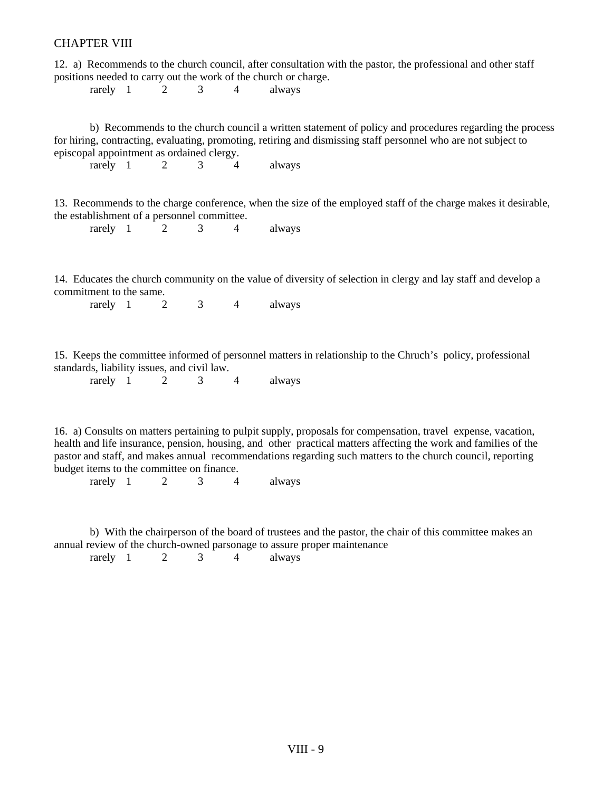12. a) Recommends to the church council, after consultation with the pastor, the professional and other staff positions needed to carry out the work of the church or charge.

rarely  $1 \t 2 \t 3 \t 4$  always

 b) Recommends to the church council a written statement of policy and procedures regarding the process for hiring, contracting, evaluating, promoting, retiring and dismissing staff personnel who are not subject to episcopal appointment as ordained clergy.

rarely 1 2 3 4 always

13. Recommends to the charge conference, when the size of the employed staff of the charge makes it desirable, the establishment of a personnel committee.

rarely 1 2 3 4 always

14. Educates the church community on the value of diversity of selection in clergy and lay staff and develop a commitment to the same.

rarely 1 2 3 4 always

15. Keeps the committee informed of personnel matters in relationship to the Chruch's policy, professional standards, liability issues, and civil law.

| rarely |  |  |  |  | always |
|--------|--|--|--|--|--------|
|--------|--|--|--|--|--------|

16. a) Consults on matters pertaining to pulpit supply, proposals for compensation, travel expense, vacation, health and life insurance, pension, housing, and other practical matters affecting the work and families of the pastor and staff, and makes annual recommendations regarding such matters to the church council, reporting budget items to the committee on finance.

rarely  $1 \t 2 \t 3 \t 4$  always

 b) With the chairperson of the board of trustees and the pastor, the chair of this committee makes an annual review of the church-owned parsonage to assure proper maintenance rarely  $1 \t 2 \t 3 \t 4$  always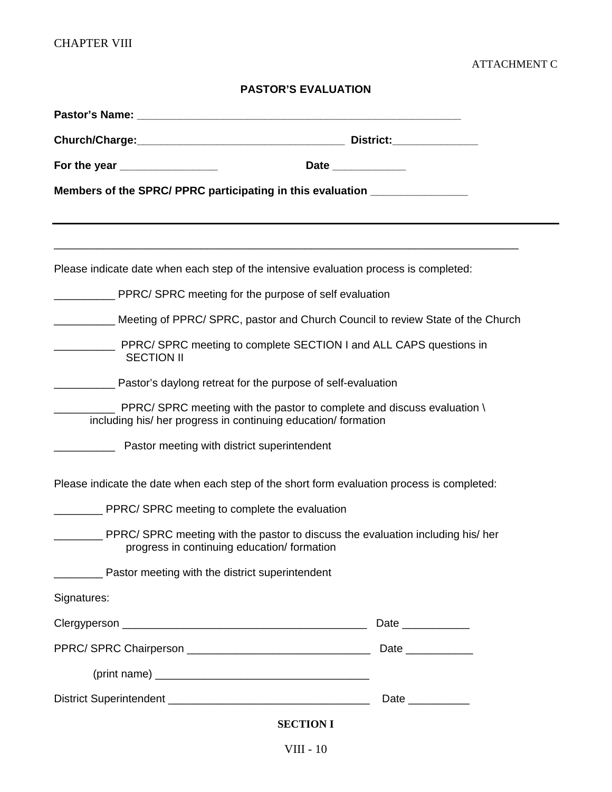## ATTACHMENT C

## **PASTOR'S EVALUATION**

| For the year ________________                                                         | Date _____________                                                                         |
|---------------------------------------------------------------------------------------|--------------------------------------------------------------------------------------------|
| Members of the SPRC/ PPRC participating in this evaluation _____________________      |                                                                                            |
|                                                                                       |                                                                                            |
| Please indicate date when each step of the intensive evaluation process is completed: |                                                                                            |
| __ PPRC/ SPRC meeting for the purpose of self evaluation                              |                                                                                            |
|                                                                                       | Meeting of PPRC/ SPRC, pastor and Church Council to review State of the Church             |
| <b>SECTION II</b>                                                                     | PPRC/SPRC meeting to complete SECTION I and ALL CAPS questions in                          |
| <b>Example 20</b> Pastor's daylong retreat for the purpose of self-evaluation         |                                                                                            |
| including his/ her progress in continuing education/ formation                        | PPRC/ SPRC meeting with the pastor to complete and discuss evaluation \                    |
| Pastor meeting with district superintendent                                           |                                                                                            |
|                                                                                       | Please indicate the date when each step of the short form evaluation process is completed: |
| ____ PPRC/ SPRC meeting to complete the evaluation                                    |                                                                                            |
| progress in continuing education/formation                                            | __ PPRC/SPRC meeting with the pastor to discuss the evaluation including his/ her          |
| <b>Pastor meeting with the district superintendent</b>                                |                                                                                            |
| Signatures:                                                                           |                                                                                            |
|                                                                                       | Date _____________                                                                         |
|                                                                                       |                                                                                            |
|                                                                                       |                                                                                            |
|                                                                                       | Date __________                                                                            |
|                                                                                       | <b>SECTION I</b>                                                                           |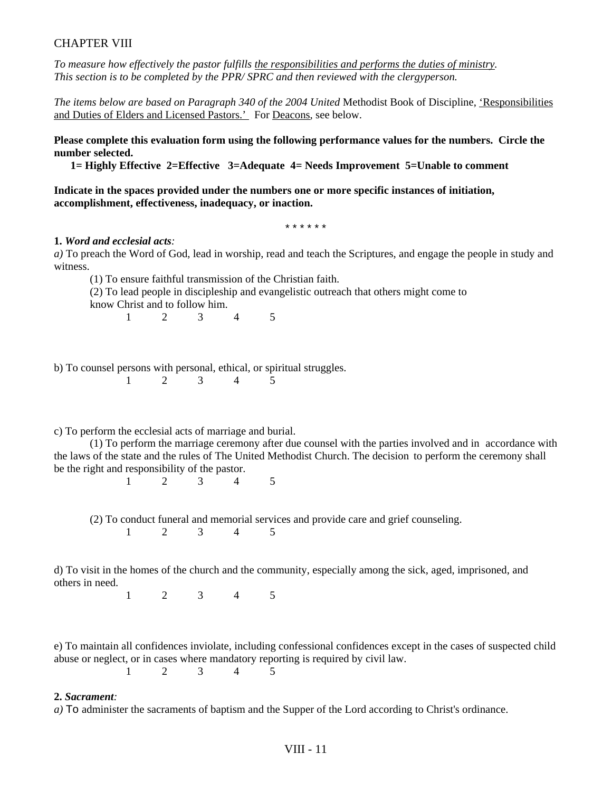*To measure how effectively the pastor fulfills the responsibilities and performs the duties of ministry. This section is to be completed by the PPR/ SPRC and then reviewed with the clergyperson.* 

*The items below are based on Paragraph 340 of the 2004 United* Methodist Book of Discipline, 'Responsibilities and Duties of Elders and Licensed Pastors.' For Deacons, see below.

**Please complete this evaluation form using the following performance values for the numbers. Circle the number selected.** 

 **1= Highly Effective 2=Effective 3=Adequate 4= Needs Improvement 5=Unable to comment** 

**Indicate in the spaces provided under the numbers one or more specific instances of initiation, accomplishment, effectiveness, inadequacy, or inaction.** 

\* \* \* \* \* \*

#### **1.** *Word and ecclesial acts:*

*a)* To preach the Word of God, lead in worship, read and teach the Scriptures, and engage the people in study and witness.

 (1) To ensure faithful transmission of the Christian faith. (2) To lead people in discipleship and evangelistic outreach that others might come to know Christ and to follow him.

1 2 3 4 5

b) To counsel persons with personal, ethical, or spiritual struggles.

c) To perform the ecclesial acts of marriage and burial.

 (1) To perform the marriage ceremony after due counsel with the parties involved and in accordance with the laws of the state and the rules of The United Methodist Church. The decision to perform the ceremony shall be the right and responsibility of the pastor.

1 2 3 4 5

(2) To conduct funeral and memorial services and provide care and grief counseling.

1 2 3 4 5

d) To visit in the homes of the church and the community, especially among the sick, aged, imprisoned, and others in need.

1 2 3 4 5

e) To maintain all confidences inviolate, including confessional confidences except in the cases of suspected child abuse or neglect, or in cases where mandatory reporting is required by civil law. 1 2 3 4 5

#### **2.** *Sacrament:*

*a)* To administer the sacraments of baptism and the Supper of the Lord according to Christ's ordinance.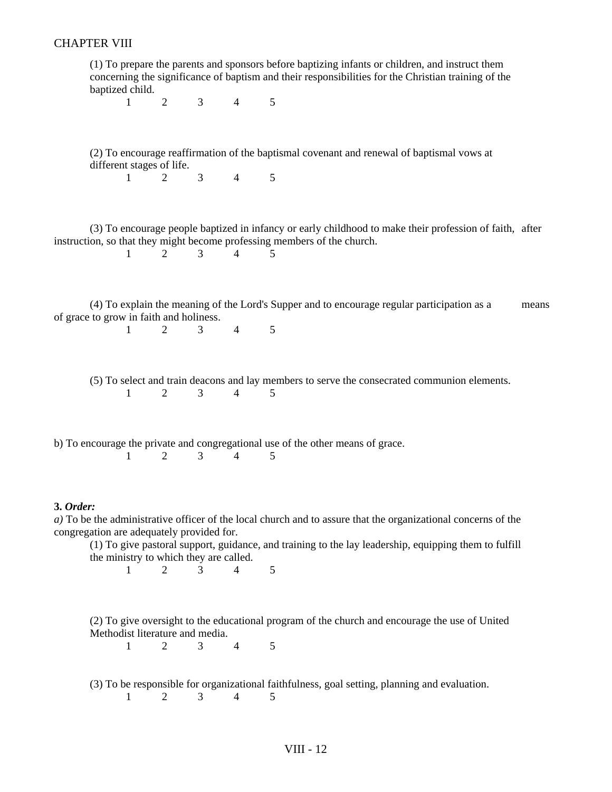(1) To prepare the parents and sponsors before baptizing infants or children, and instruct them concerning the significance of baptism and their responsibilities for the Christian training of the baptized child.

1 2 3 4 5

 (2) To encourage reaffirmation of the baptismal covenant and renewal of baptismal vows at different stages of life.

1 2 3 4 5

 (3) To encourage people baptized in infancy or early childhood to make their profession of faith, after instruction, so that they might become professing members of the church.<br> $\frac{1}{2}$   $\frac{2}{3}$   $\frac{3}{4}$   $\frac{4}{5}$ 

1 2 3 4 5

 (4) To explain the meaning of the Lord's Supper and to encourage regular participation as a means of grace to grow in faith and holiness.

1 2 3 4 5

 (5) To select and train deacons and lay members to serve the consecrated communion elements. 1 2 3 4 5

b) To encourage the private and congregational use of the other means of grace. 1 2 3 4 5

#### **3.** *Order:*

*a)* To be the administrative officer of the local church and to assure that the organizational concerns of the congregation are adequately provided for.

 (1) To give pastoral support, guidance, and training to the lay leadership, equipping them to fulfill the ministry to which they are called.

1 2 3 4 5

 (2) To give oversight to the educational program of the church and encourage the use of United Methodist literature and media.

1 2 3 4 5

(3) To be responsible for organizational faithfulness, goal setting, planning and evaluation.

1 2 3 4 5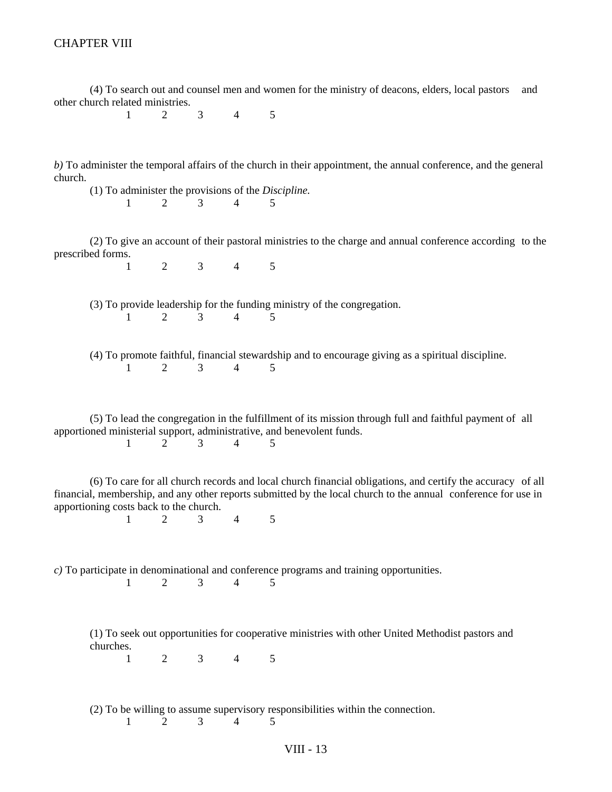(4) To search out and counsel men and women for the ministry of deacons, elders, local pastors and other church related ministries.

1 2 3 4 5

*b)* To administer the temporal affairs of the church in their appointment, the annual conference, and the general church.

 (1) To administer the provisions of the *Discipline.*  1 2 3 4 5

1 2 3 4 5

1 2 3 4 5

 (2) To give an account of their pastoral ministries to the charge and annual conference according to the prescribed forms.

 (3) To provide leadership for the funding ministry of the congregation. 1 2 3 4 5

|                                     |  |  |  | (4) To promote faithful, financial stewardship and to encourage giving as a spiritual discipline. |
|-------------------------------------|--|--|--|---------------------------------------------------------------------------------------------------|
| $1 \quad 2 \quad 3 \quad 4 \quad 5$ |  |  |  |                                                                                                   |

 (5) To lead the congregation in the fulfillment of its mission through full and faithful payment of all apportioned ministerial support, administrative, and benevolent funds. 1 2 3 4 5

 (6) To care for all church records and local church financial obligations, and certify the accuracy of all financial, membership, and any other reports submitted by the local church to the annual conference for use in apportioning costs back to the church.

*c)* To participate in denominational and conference programs and training opportunities.

1 2 3 4 5

 (1) To seek out opportunities for cooperative ministries with other United Methodist pastors and churches.

1 2 3 4 5

 (2) To be willing to assume supervisory responsibilities within the connection. 1 2 3 4 5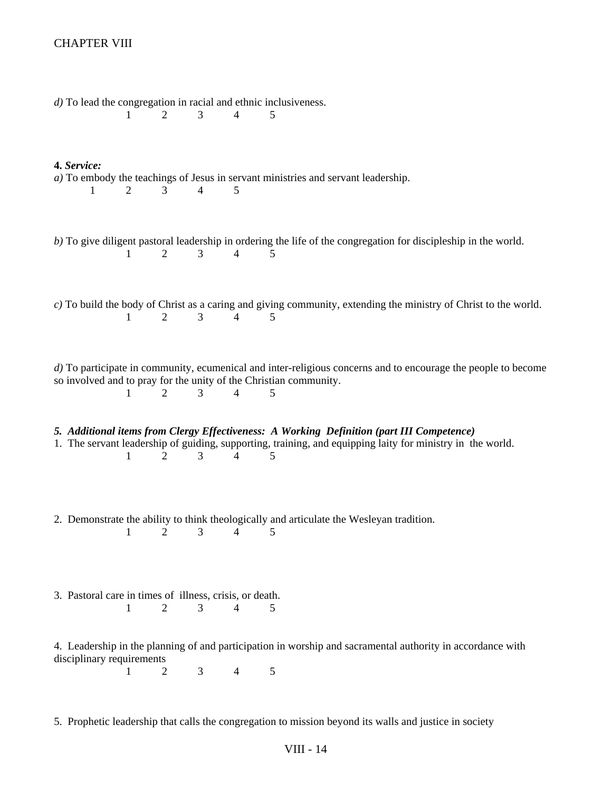| $d$ ) To lead the congregation in racial and ethnic inclusiveness.<br>2<br>3<br>$\overline{4}$<br>5<br>$\mathbf{1}$                                                                                                                           |
|-----------------------------------------------------------------------------------------------------------------------------------------------------------------------------------------------------------------------------------------------|
| 4. Service:<br>$a)$ To embody the teachings of Jesus in servant ministries and servant leadership.<br>5<br>2<br>3<br>$\overline{4}$<br>1                                                                                                      |
| b) To give diligent pastoral leadership in ordering the life of the congregation for discipleship in the world.<br>$\overline{2}$<br>$\overline{4}$<br>1<br>3<br>5                                                                            |
| $c$ ) To build the body of Christ as a caring and giving community, extending the ministry of Christ to the world.<br>3<br>$\overline{4}$<br>2<br>1<br>5                                                                                      |
| d) To participate in community, ecumenical and inter-religious concerns and to encourage the people to become<br>so involved and to pray for the unity of the Christian community.<br>1<br>2<br>3<br>4<br>5                                   |
| 5. Additional items from Clergy Effectiveness: A Working Definition (part III Competence)<br>1. The servant leadership of guiding, supporting, training, and equipping laity for ministry in the world.<br>3<br>1<br>2<br>$\overline{4}$<br>5 |
| 2. Demonstrate the ability to think theologically and articulate the Wesleyan tradition.<br>$\overline{2}$<br>3<br>4<br>1<br>5                                                                                                                |
| 3. Pastoral care in times of illness, crisis, or death.<br>$\overline{2}$<br>3<br>1<br>$\overline{4}$<br>5                                                                                                                                    |
| 4. Leadership in the planning of and participation in worship and sacramental authority in accordance with<br>disciplinary requirements<br>3 <sup>7</sup><br>5<br>$\mathbf{1}$<br>2<br>$\overline{4}$                                         |
| 5. Prophetic leadership that calls the congregation to mission beyond its walls and justice in society                                                                                                                                        |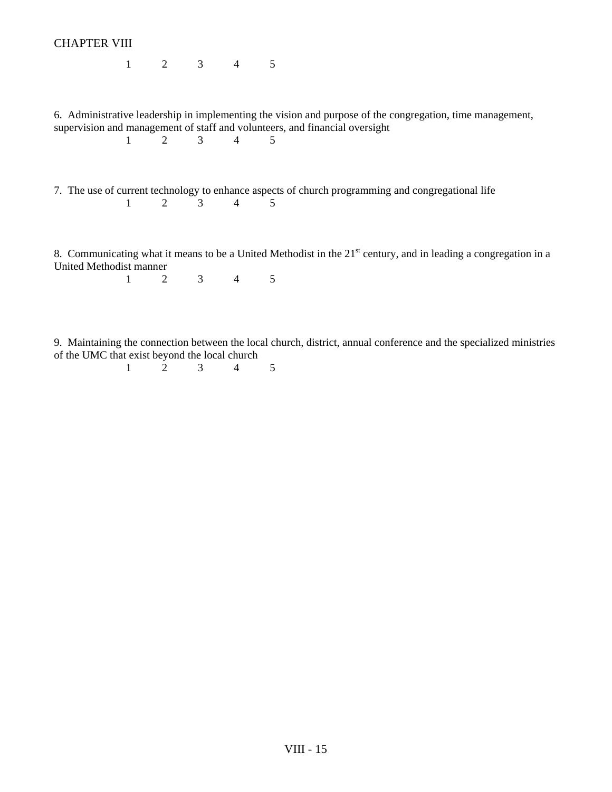| <b>CHAPTER VIII</b>     |  |                         |                                                                                                                                                                                          |
|-------------------------|--|-------------------------|------------------------------------------------------------------------------------------------------------------------------------------------------------------------------------------|
|                         |  | $1 \t 2 \t 3 \t 4 \t 5$ |                                                                                                                                                                                          |
|                         |  | $1 \t 2 \t 3 \t 4 \t 5$ | 6. Administrative leadership in implementing the vision and purpose of the congregation, time management,<br>supervision and management of staff and volunteers, and financial oversight |
|                         |  | $1 \t 2 \t 3 \t 4 \t 5$ | 7. The use of current technology to enhance aspects of church programming and congregational life                                                                                        |
| United Methodist manner |  | $1 \t 2 \t 3 \t 4 \t 5$ | 8. Communicating what it means to be a United Methodist in the 21 <sup>st</sup> century, and in leading a congregation in a                                                              |
|                         |  |                         |                                                                                                                                                                                          |
|                         |  |                         | Q Maintaining the connection between the local church district, annual conference and the specialized ministries                                                                         |

9. Maintaining the connection between the local church, district, annual conference and the specialized ministries of the UMC that exist beyond the local church

1 2 3 4 5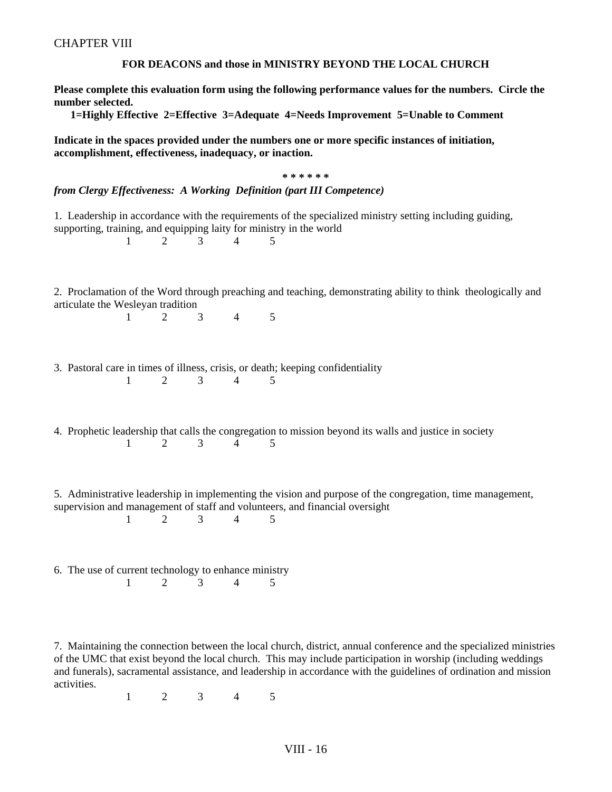#### **FOR DEACONS and those in MINISTRY BEYOND THE LOCAL CHURCH**

**Please complete this evaluation form using the following performance values for the numbers. Circle the number selected.**

 **1=Highly Effective 2=Effective 3=Adequate 4=Needs Improvement 5=Unable to Comment** 

**Indicate in the spaces provided under the numbers one or more specific instances of initiation, accomplishment, effectiveness, inadequacy, or inaction.** 

|                                                           |                |                     | * * * * * *                                                                                                                                                                                   |  |
|-----------------------------------------------------------|----------------|---------------------|-----------------------------------------------------------------------------------------------------------------------------------------------------------------------------------------------|--|
|                                                           |                |                     | from Clergy Effectiveness: A Working Definition (part III Competence)                                                                                                                         |  |
| 1                                                         | $2^{\circ}$    | $\mathfrak{Z}$<br>4 | 1. Leadership in accordance with the requirements of the specialized ministry setting including guiding,<br>supporting, training, and equipping laity for ministry in the world<br>5          |  |
| articulate the Wesleyan tradition<br>$\mathbf{1}$         | 2              | 3<br>$\overline{4}$ | 2. Proclamation of the Word through preaching and teaching, demonstrating ability to think theologically and<br>5                                                                             |  |
| $\mathbf{1}$                                              | 2              | 3<br>$\overline{4}$ | 3. Pastoral care in times of illness, crisis, or death; keeping confidentiality<br>5                                                                                                          |  |
| 1                                                         | $\overline{2}$ | 3<br>4              | 4. Prophetic leadership that calls the congregation to mission beyond its walls and justice in society<br>5                                                                                   |  |
| 1                                                         | 2              | $\overline{4}$<br>3 | 5. Administrative leadership in implementing the vision and purpose of the congregation, time management,<br>supervision and management of staff and volunteers, and financial oversight<br>5 |  |
| 6. The use of current technology to enhance ministry<br>1 | 2              | 3<br>$\overline{4}$ | 5                                                                                                                                                                                             |  |

7. Maintaining the connection between the local church, district, annual conference and the specialized ministries of the UMC that exist beyond the local church. This may include participation in worship (including weddings and funerals), sacramental assistance, and leadership in accordance with the guidelines of ordination and mission activities.

1 2 3 4 5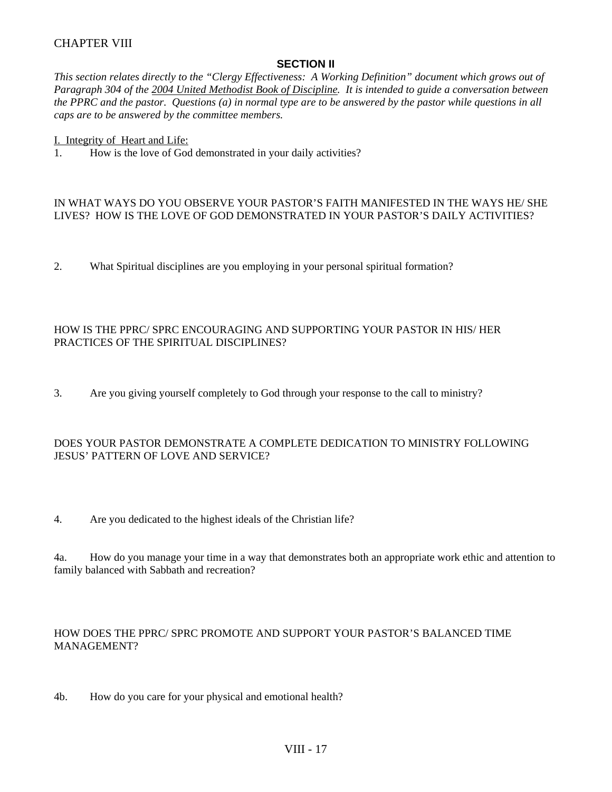### **SECTION II**

*This section relates directly to the "Clergy Effectiveness: A Working Definition" document which grows out of Paragraph 304 of the 2004 United Methodist Book of Discipline. It is intended to guide a conversation between the PPRC and the pastor. Questions (a) in normal type are to be answered by the pastor while questions in all caps are to be answered by the committee members.* 

I. Integrity of Heart and Life:

1. How is the love of God demonstrated in your daily activities?

#### IN WHAT WAYS DO YOU OBSERVE YOUR PASTOR'S FAITH MANIFESTED IN THE WAYS HE/ SHE LIVES? HOW IS THE LOVE OF GOD DEMONSTRATED IN YOUR PASTOR'S DAILY ACTIVITIES?

2. What Spiritual disciplines are you employing in your personal spiritual formation?

### HOW IS THE PPRC/ SPRC ENCOURAGING AND SUPPORTING YOUR PASTOR IN HIS/ HER PRACTICES OF THE SPIRITUAL DISCIPLINES?

3. Are you giving yourself completely to God through your response to the call to ministry?

### DOES YOUR PASTOR DEMONSTRATE A COMPLETE DEDICATION TO MINISTRY FOLLOWING JESUS' PATTERN OF LOVE AND SERVICE?

4. Are you dedicated to the highest ideals of the Christian life?

4a. How do you manage your time in a way that demonstrates both an appropriate work ethic and attention to family balanced with Sabbath and recreation?

### HOW DOES THE PPRC/ SPRC PROMOTE AND SUPPORT YOUR PASTOR'S BALANCED TIME MANAGEMENT?

4b. How do you care for your physical and emotional health?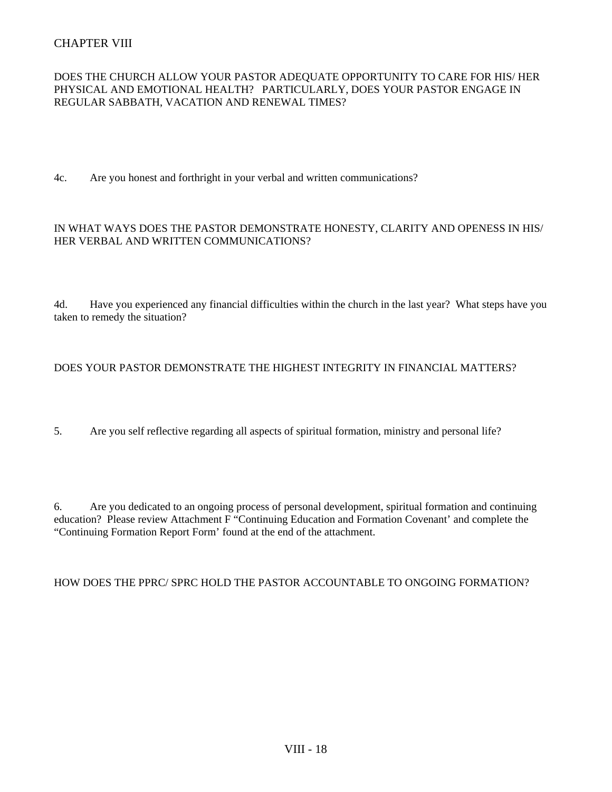### DOES THE CHURCH ALLOW YOUR PASTOR ADEQUATE OPPORTUNITY TO CARE FOR HIS/ HER PHYSICAL AND EMOTIONAL HEALTH? PARTICULARLY, DOES YOUR PASTOR ENGAGE IN REGULAR SABBATH, VACATION AND RENEWAL TIMES?

4c. Are you honest and forthright in your verbal and written communications?

#### IN WHAT WAYS DOES THE PASTOR DEMONSTRATE HONESTY, CLARITY AND OPENESS IN HIS/ HER VERBAL AND WRITTEN COMMUNICATIONS?

4d. Have you experienced any financial difficulties within the church in the last year? What steps have you taken to remedy the situation?

#### DOES YOUR PASTOR DEMONSTRATE THE HIGHEST INTEGRITY IN FINANCIAL MATTERS?

5. Are you self reflective regarding all aspects of spiritual formation, ministry and personal life?

6. Are you dedicated to an ongoing process of personal development, spiritual formation and continuing education? Please review Attachment F "Continuing Education and Formation Covenant' and complete the "Continuing Formation Report Form' found at the end of the attachment.

HOW DOES THE PPRC/ SPRC HOLD THE PASTOR ACCOUNTABLE TO ONGOING FORMATION?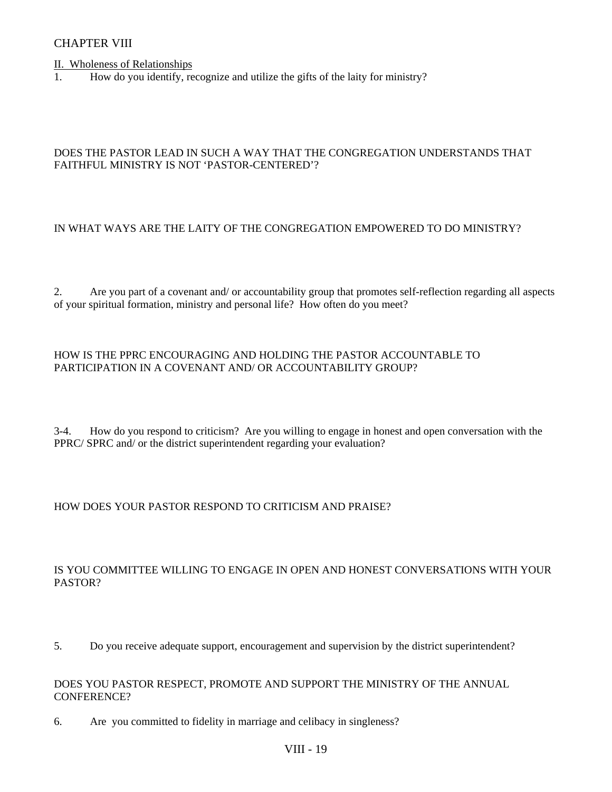II. Wholeness of Relationships

1. How do you identify, recognize and utilize the gifts of the laity for ministry?

### DOES THE PASTOR LEAD IN SUCH A WAY THAT THE CONGREGATION UNDERSTANDS THAT FAITHFUL MINISTRY IS NOT 'PASTOR-CENTERED'?

### IN WHAT WAYS ARE THE LAITY OF THE CONGREGATION EMPOWERED TO DO MINISTRY?

2. Are you part of a covenant and/ or accountability group that promotes self-reflection regarding all aspects of your spiritual formation, ministry and personal life? How often do you meet?

#### HOW IS THE PPRC ENCOURAGING AND HOLDING THE PASTOR ACCOUNTABLE TO PARTICIPATION IN A COVENANT AND/ OR ACCOUNTABILITY GROUP?

3-4. How do you respond to criticism? Are you willing to engage in honest and open conversation with the PPRC/ SPRC and/ or the district superintendent regarding your evaluation?

#### HOW DOES YOUR PASTOR RESPOND TO CRITICISM AND PRAISE?

### IS YOU COMMITTEE WILLING TO ENGAGE IN OPEN AND HONEST CONVERSATIONS WITH YOUR PASTOR?

5. Do you receive adequate support, encouragement and supervision by the district superintendent?

#### DOES YOU PASTOR RESPECT, PROMOTE AND SUPPORT THE MINISTRY OF THE ANNUAL CONFERENCE?

6. Are you committed to fidelity in marriage and celibacy in singleness?

### VIII - 19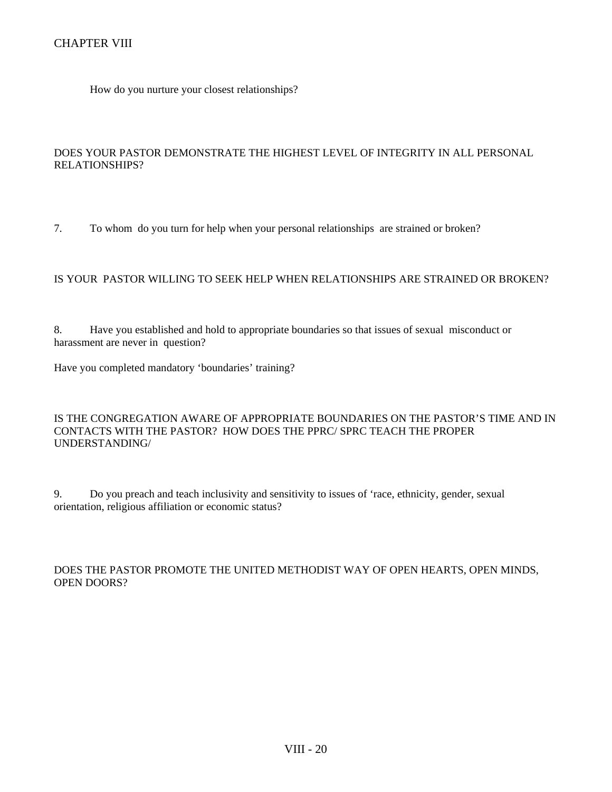How do you nurture your closest relationships?

### DOES YOUR PASTOR DEMONSTRATE THE HIGHEST LEVEL OF INTEGRITY IN ALL PERSONAL RELATIONSHIPS?

7. To whom do you turn for help when your personal relationships are strained or broken?

### IS YOUR PASTOR WILLING TO SEEK HELP WHEN RELATIONSHIPS ARE STRAINED OR BROKEN?

8. Have you established and hold to appropriate boundaries so that issues of sexual misconduct or harassment are never in question?

Have you completed mandatory 'boundaries' training?

#### IS THE CONGREGATION AWARE OF APPROPRIATE BOUNDARIES ON THE PASTOR'S TIME AND IN CONTACTS WITH THE PASTOR? HOW DOES THE PPRC/ SPRC TEACH THE PROPER UNDERSTANDING/

9. Do you preach and teach inclusivity and sensitivity to issues of 'race, ethnicity, gender, sexual orientation, religious affiliation or economic status?

### DOES THE PASTOR PROMOTE THE UNITED METHODIST WAY OF OPEN HEARTS, OPEN MINDS, OPEN DOORS?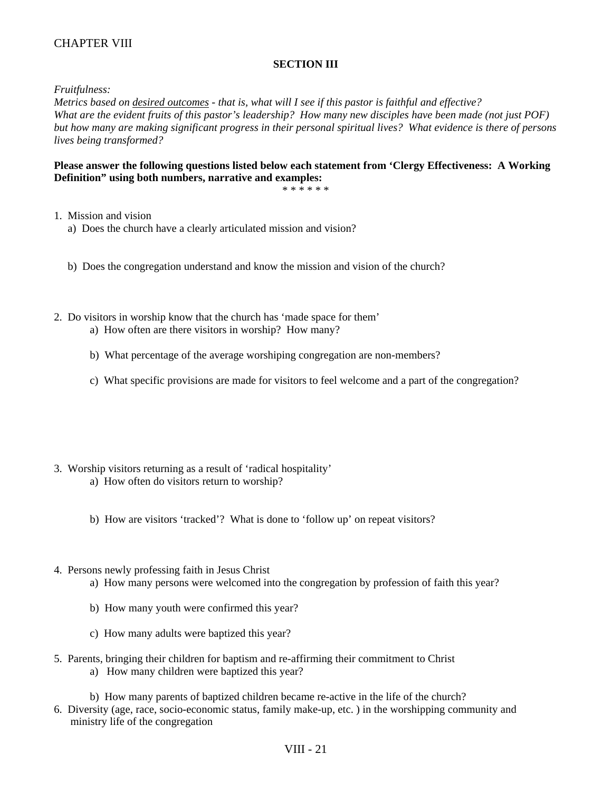### **SECTION III**

*Fruitfulness:* 

*Metrics based on desired outcomes - that is, what will I see if this pastor is faithful and effective? What are the evident fruits of this pastor's leadership? How many new disciples have been made (not just POF) but how many are making significant progress in their personal spiritual lives? What evidence is there of persons lives being transformed?* 

#### **Please answer the following questions listed below each statement from 'Clergy Effectiveness: A Working Definition" using both numbers, narrative and examples:**

\* \* \* \* \* \*

- 1. Mission and vision
	- a) Does the church have a clearly articulated mission and vision?
	- b) Does the congregation understand and know the mission and vision of the church?
- 2. Do visitors in worship know that the church has 'made space for them'
	- a) How often are there visitors in worship? How many?
	- b) What percentage of the average worshiping congregation are non-members?
	- c) What specific provisions are made for visitors to feel welcome and a part of the congregation?
- 3. Worship visitors returning as a result of 'radical hospitality'
	- a) How often do visitors return to worship?
	- b) How are visitors 'tracked'? What is done to 'follow up' on repeat visitors?
- 4. Persons newly professing faith in Jesus Christ
	- a) How many persons were welcomed into the congregation by profession of faith this year?
	- b) How many youth were confirmed this year?
	- c) How many adults were baptized this year?
- 5. Parents, bringing their children for baptism and re-affirming their commitment to Christ a) How many children were baptized this year?
	- b) How many parents of baptized children became re-active in the life of the church?
- 6. Diversity (age, race, socio-economic status, family make-up, etc. ) in the worshipping community and ministry life of the congregation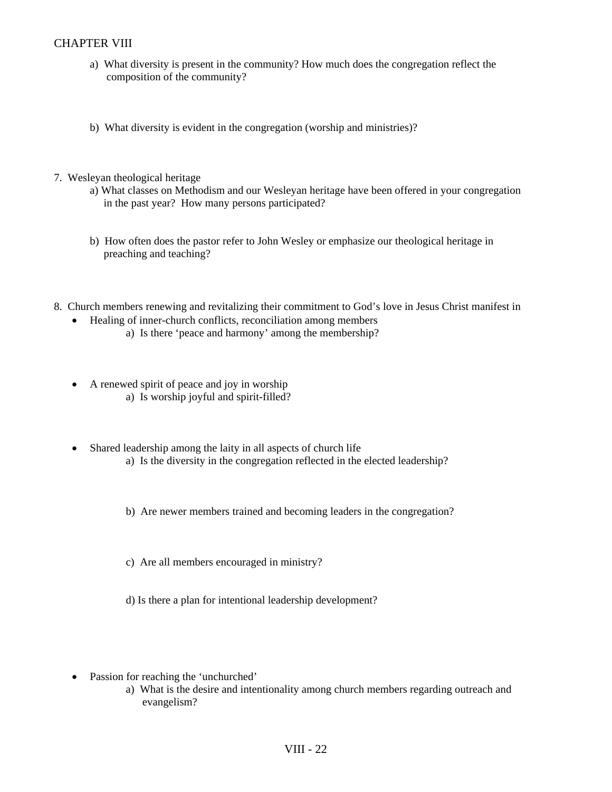- a) What diversity is present in the community? How much does the congregation reflect the composition of the community?
- b) What diversity is evident in the congregation (worship and ministries)?
- 7. Wesleyan theological heritage
	- a) What classes on Methodism and our Wesleyan heritage have been offered in your congregation in the past year? How many persons participated?
	- b) How often does the pastor refer to John Wesley or emphasize our theological heritage in preaching and teaching?
- 8. Church members renewing and revitalizing their commitment to God's love in Jesus Christ manifest in
	- Healing of inner-church conflicts, reconciliation among members
		- a) Is there 'peace and harmony' among the membership?
	- A renewed spirit of peace and joy in worship a) Is worship joyful and spirit-filled?
	- Shared leadership among the laity in all aspects of church life a) Is the diversity in the congregation reflected in the elected leadership?
		- b) Are newer members trained and becoming leaders in the congregation?
		- c) Are all members encouraged in ministry?
		- d) Is there a plan for intentional leadership development?
	- Passion for reaching the 'unchurched'
		- a) What is the desire and intentionality among church members regarding outreach and evangelism?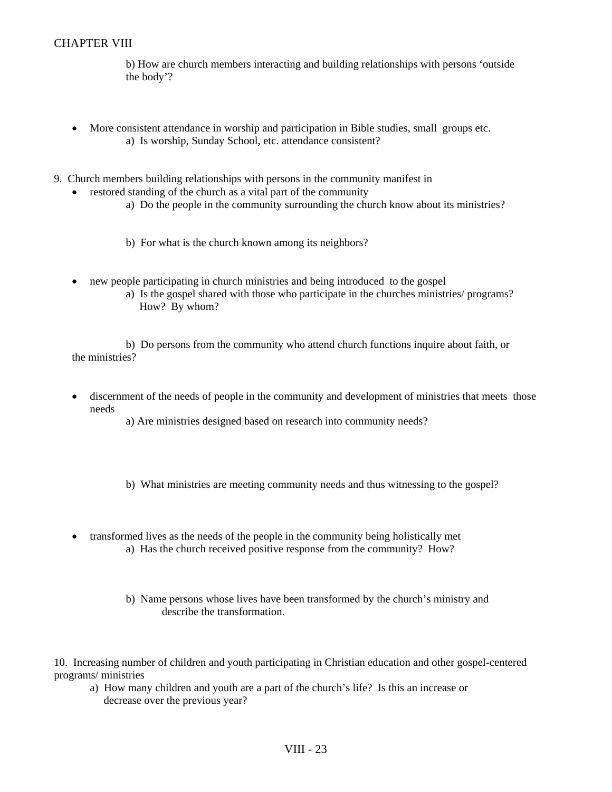b) How are church members interacting and building relationships with persons 'outside the body'?

- More consistent attendance in worship and participation in Bible studies, small groups etc. a) Is worship, Sunday School, etc. attendance consistent?
- 9. Church members building relationships with persons in the community manifest in
	- restored standing of the church as a vital part of the community
		- a) Do the people in the community surrounding the church know about its ministries?
		- b) For what is the church known among its neighbors?
	- new people participating in church ministries and being introduced to the gospel
		- a) Is the gospel shared with those who participate in the churches ministries/ programs? How? By whom?

 b) Do persons from the community who attend church functions inquire about faith, or the ministries?

- discernment of the needs of people in the community and development of ministries that meets those needs
	- a) Are ministries designed based on research into community needs?
	- b) What ministries are meeting community needs and thus witnessing to the gospel?
- transformed lives as the needs of the people in the community being holistically met a) Has the church received positive response from the community? How?
	- b) Name persons whose lives have been transformed by the church's ministry and describe the transformation.

10. Increasing number of children and youth participating in Christian education and other gospel-centered programs/ ministries

 a) How many children and youth are a part of the church's life? Is this an increase or decrease over the previous year?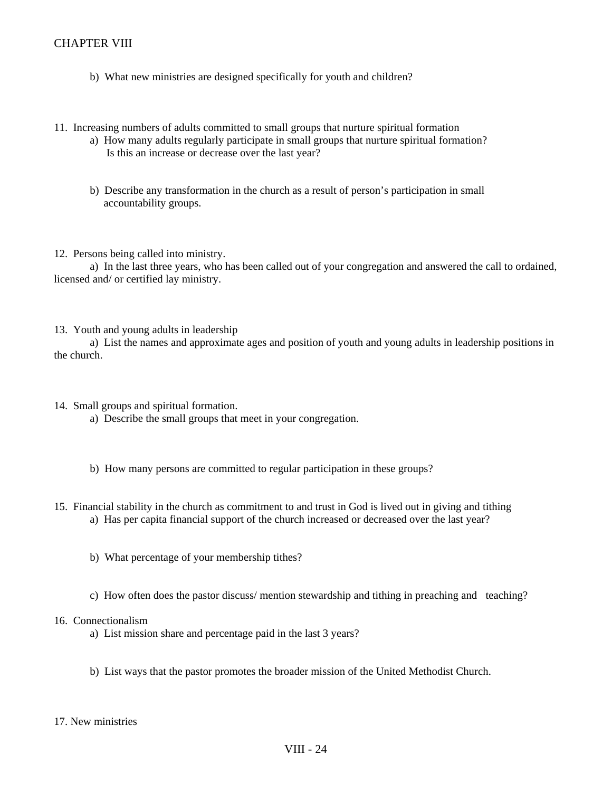- b) What new ministries are designed specifically for youth and children?
- 11. Increasing numbers of adults committed to small groups that nurture spiritual formation
	- a) How many adults regularly participate in small groups that nurture spiritual formation? Is this an increase or decrease over the last year?
	- b) Describe any transformation in the church as a result of person's participation in small accountability groups.
- 12. Persons being called into ministry.

 a) In the last three years, who has been called out of your congregation and answered the call to ordained, licensed and/ or certified lay ministry.

13. Youth and young adults in leadership

 a) List the names and approximate ages and position of youth and young adults in leadership positions in the church.

- 14. Small groups and spiritual formation.
	- a) Describe the small groups that meet in your congregation.
	- b) How many persons are committed to regular participation in these groups?
- 15. Financial stability in the church as commitment to and trust in God is lived out in giving and tithing a) Has per capita financial support of the church increased or decreased over the last year?
	- b) What percentage of your membership tithes?
	- c) How often does the pastor discuss/ mention stewardship and tithing in preaching and teaching?

#### 16. Connectionalism

- a) List mission share and percentage paid in the last 3 years?
- b) List ways that the pastor promotes the broader mission of the United Methodist Church.
- 17. New ministries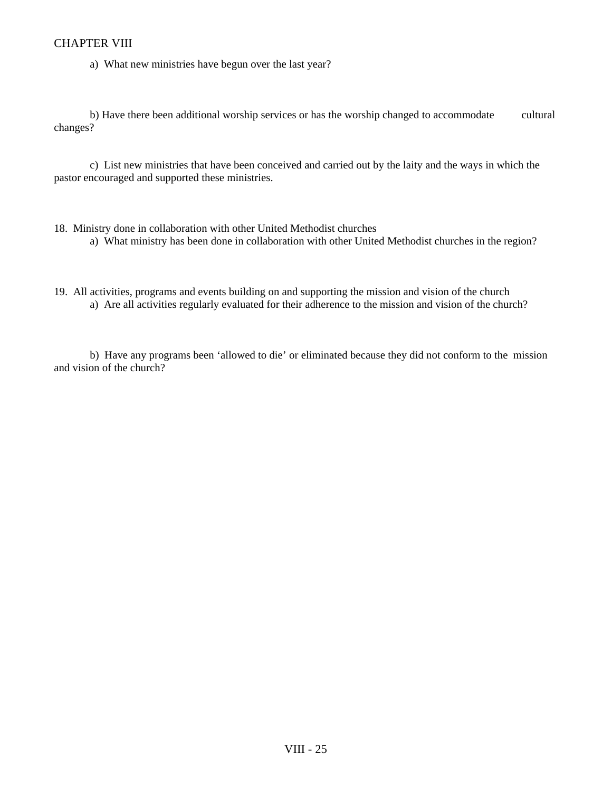a) What new ministries have begun over the last year?

b) Have there been additional worship services or has the worship changed to accommodate cultural changes?

 c) List new ministries that have been conceived and carried out by the laity and the ways in which the pastor encouraged and supported these ministries.

- 18. Ministry done in collaboration with other United Methodist churches a) What ministry has been done in collaboration with other United Methodist churches in the region?
- 19. All activities, programs and events building on and supporting the mission and vision of the church a) Are all activities regularly evaluated for their adherence to the mission and vision of the church?

 b) Have any programs been 'allowed to die' or eliminated because they did not conform to the mission and vision of the church?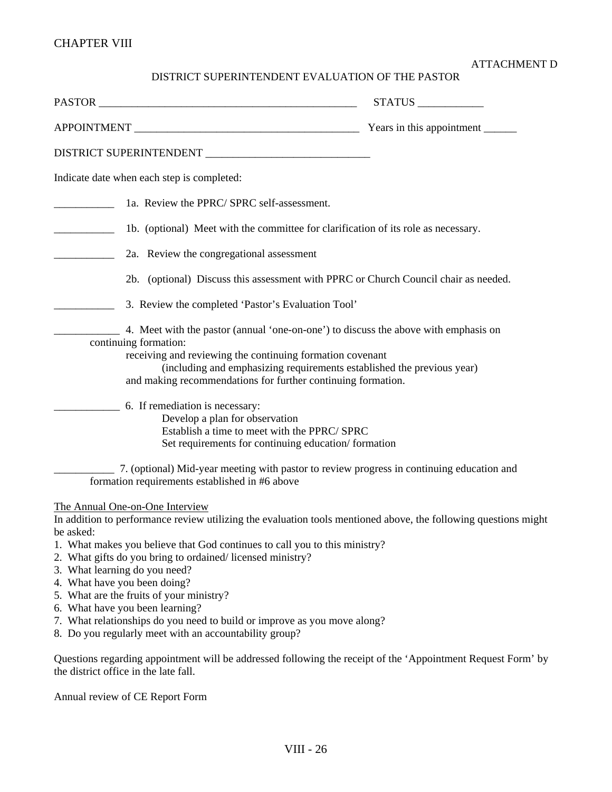### ATTACHMENT D

## DISTRICT SUPERINTENDENT EVALUATION OF THE PASTOR

|                                                                                                                                                                                                                                                                                                                                                                                                                                                                                                                                                                                                  | STATUS |
|--------------------------------------------------------------------------------------------------------------------------------------------------------------------------------------------------------------------------------------------------------------------------------------------------------------------------------------------------------------------------------------------------------------------------------------------------------------------------------------------------------------------------------------------------------------------------------------------------|--------|
|                                                                                                                                                                                                                                                                                                                                                                                                                                                                                                                                                                                                  |        |
|                                                                                                                                                                                                                                                                                                                                                                                                                                                                                                                                                                                                  |        |
| Indicate date when each step is completed:                                                                                                                                                                                                                                                                                                                                                                                                                                                                                                                                                       |        |
| 1a. Review the PPRC/SPRC self-assessment.                                                                                                                                                                                                                                                                                                                                                                                                                                                                                                                                                        |        |
| 1b. (optional) Meet with the committee for clarification of its role as necessary.                                                                                                                                                                                                                                                                                                                                                                                                                                                                                                               |        |
| 2a. Review the congregational assessment                                                                                                                                                                                                                                                                                                                                                                                                                                                                                                                                                         |        |
| 2b. (optional) Discuss this assessment with PPRC or Church Council chair as needed.                                                                                                                                                                                                                                                                                                                                                                                                                                                                                                              |        |
| 3. Review the completed 'Pastor's Evaluation Tool'                                                                                                                                                                                                                                                                                                                                                                                                                                                                                                                                               |        |
| 4. Meet with the pastor (annual 'one-on-one') to discuss the above with emphasis on<br>continuing formation:<br>receiving and reviewing the continuing formation covenant<br>(including and emphasizing requirements established the previous year)<br>and making recommendations for further continuing formation.<br>______ 6. If remediation is necessary:<br>Develop a plan for observation<br>Establish a time to meet with the PPRC/ SPRC<br>Set requirements for continuing education/formation                                                                                           |        |
| 7. (optional) Mid-year meeting with pastor to review progress in continuing education and<br>formation requirements established in #6 above                                                                                                                                                                                                                                                                                                                                                                                                                                                      |        |
| The Annual One-on-One Interview<br>In addition to performance review utilizing the evaluation tools mentioned above, the following questions might<br>be asked:<br>1. What makes you believe that God continues to call you to this ministry?<br>2. What gifts do you bring to ordained/licensed ministry?<br>3. What learning do you need?<br>4. What have you been doing?<br>5. What are the fruits of your ministry?<br>6. What have you been learning?<br>7. What relationships do you need to build or improve as you move along?<br>8. Do you regularly meet with an accountability group? |        |
| Questions regarding appointment will be addressed following the receipt of the 'Appointment Request Form' by<br>the district office in the late fall.                                                                                                                                                                                                                                                                                                                                                                                                                                            |        |

Annual review of CE Report Form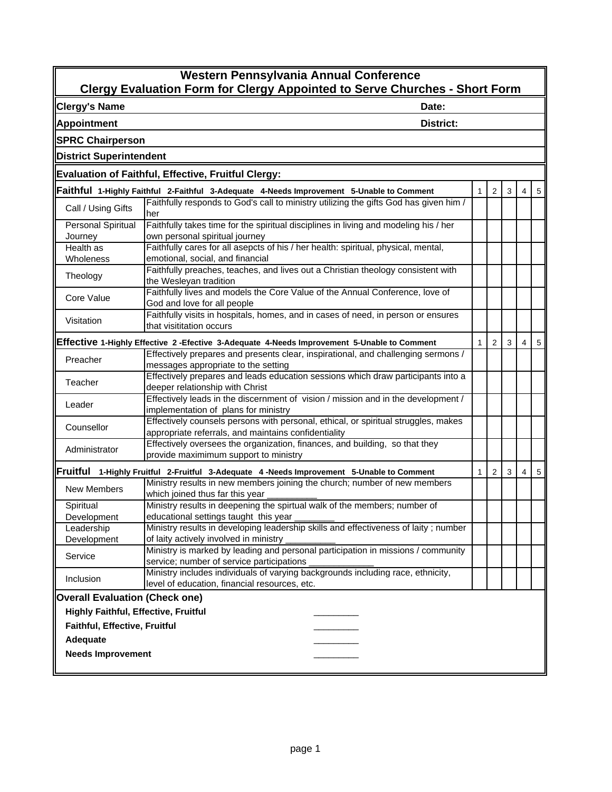| Western Pennsylvania Annual Conference<br><b>Clergy Evaluation Form for Clergy Appointed to Serve Churches - Short Form</b> |                                                                                            |              |                |   |   |            |  |  |
|-----------------------------------------------------------------------------------------------------------------------------|--------------------------------------------------------------------------------------------|--------------|----------------|---|---|------------|--|--|
| <b>Clergy's Name</b>                                                                                                        | Date:                                                                                      |              |                |   |   |            |  |  |
| <b>Appointment</b>                                                                                                          | District:                                                                                  |              |                |   |   |            |  |  |
| <b>SPRC Chairperson</b>                                                                                                     |                                                                                            |              |                |   |   |            |  |  |
| <b>District Superintendent</b>                                                                                              |                                                                                            |              |                |   |   |            |  |  |
|                                                                                                                             | <b>Evaluation of Faithful, Effective, Fruitful Clergy:</b>                                 |              |                |   |   |            |  |  |
|                                                                                                                             | Faithful 1-Highly Faithful 2-Faithful 3-Adequate 4-Needs Improvement 5-Unable to Comment   | $\mathbf{1}$ | $\overline{2}$ | 3 | 4 | 5          |  |  |
|                                                                                                                             | Faithfully responds to God's call to ministry utilizing the gifts God has given him /      |              |                |   |   |            |  |  |
| Call / Using Gifts                                                                                                          | her                                                                                        |              |                |   |   |            |  |  |
| Personal Spiritual                                                                                                          | Faithfully takes time for the spiritual disciplines in living and modeling his / her       |              |                |   |   |            |  |  |
| Journey                                                                                                                     | own personal spiritual journey                                                             |              |                |   |   |            |  |  |
| Health as                                                                                                                   | Faithfully cares for all asepcts of his / her health: spiritual, physical, mental,         |              |                |   |   |            |  |  |
| Wholeness                                                                                                                   | emotional, social, and financial                                                           |              |                |   |   |            |  |  |
|                                                                                                                             | Faithfully preaches, teaches, and lives out a Christian theology consistent with           |              |                |   |   |            |  |  |
| Theology                                                                                                                    | the Wesleyan tradition                                                                     |              |                |   |   |            |  |  |
| Core Value                                                                                                                  | Faithfully lives and models the Core Value of the Annual Conference, love of               |              |                |   |   |            |  |  |
|                                                                                                                             | God and love for all people                                                                |              |                |   |   |            |  |  |
| Visitation                                                                                                                  | Faithfully visits in hospitals, homes, and in cases of need, in person or ensures          |              |                |   |   |            |  |  |
|                                                                                                                             | that visititation occurs                                                                   |              |                |   |   |            |  |  |
|                                                                                                                             | Effective 1-Highly Effective 2-Efective 3-Adequate 4-Needs Improvement 5-Unable to Comment | $\mathbf{1}$ | $\overline{2}$ | 3 | 4 | 5          |  |  |
| Preacher                                                                                                                    | Effectively prepares and presents clear, inspirational, and challenging sermons /          |              |                |   |   |            |  |  |
|                                                                                                                             | messages appropriate to the setting                                                        |              |                |   |   |            |  |  |
| Teacher                                                                                                                     | Effectively prepares and leads education sessions which draw participants into a           |              |                |   |   |            |  |  |
|                                                                                                                             | deeper relationship with Christ                                                            |              |                |   |   |            |  |  |
|                                                                                                                             | Effectively leads in the discernment of vision / mission and in the development /          |              |                |   |   |            |  |  |
| Leader                                                                                                                      | implementation of plans for ministry                                                       |              |                |   |   |            |  |  |
| Counsellor                                                                                                                  | Effectively counsels persons with personal, ethical, or spiritual struggles, makes         |              |                |   |   |            |  |  |
|                                                                                                                             | appropriate referrals, and maintains confidentiality                                       |              |                |   |   |            |  |  |
| Administrator                                                                                                               | Effectively oversees the organization, finances, and building, so that they                |              |                |   |   |            |  |  |
|                                                                                                                             | provide maximimum support to ministry                                                      |              |                |   |   |            |  |  |
|                                                                                                                             | Fruitful 1-Highly Fruitful 2-Fruitful 3-Adequate 4 -Needs Improvement 5-Unable to Comment  | $\mathbf{1}$ | $\overline{2}$ | 3 | 4 | $\sqrt{5}$ |  |  |
| New Members                                                                                                                 | Ministry results in new members joining the church; number of new members                  |              |                |   |   |            |  |  |
|                                                                                                                             | which joined thus far this year                                                            |              |                |   |   |            |  |  |
| Spiritual                                                                                                                   | Ministry results in deepening the spirtual walk of the members; number of                  |              |                |   |   |            |  |  |
| Development                                                                                                                 | educational settings taught this year                                                      |              |                |   |   |            |  |  |
| Leadership                                                                                                                  | Ministry results in developing leadership skills and effectiveness of laity; number        |              |                |   |   |            |  |  |
| Development                                                                                                                 | of laity actively involved in ministry                                                     |              |                |   |   |            |  |  |
| Service                                                                                                                     | Ministry is marked by leading and personal participation in missions / community           |              |                |   |   |            |  |  |
|                                                                                                                             | service; number of service participations                                                  |              |                |   |   |            |  |  |
| Inclusion                                                                                                                   | Ministry includes individuals of varying backgrounds including race, ethnicity,            |              |                |   |   |            |  |  |
|                                                                                                                             | level of education, financial resources, etc.                                              |              |                |   |   |            |  |  |
| <b>Overall Evaluation (Check one)</b>                                                                                       |                                                                                            |              |                |   |   |            |  |  |
| Highly Faithful, Effective, Fruitful                                                                                        |                                                                                            |              |                |   |   |            |  |  |
| Faithful, Effective, Fruitful                                                                                               |                                                                                            |              |                |   |   |            |  |  |
| Adequate                                                                                                                    |                                                                                            |              |                |   |   |            |  |  |
| <b>Needs Improvement</b>                                                                                                    |                                                                                            |              |                |   |   |            |  |  |
|                                                                                                                             |                                                                                            |              |                |   |   |            |  |  |
|                                                                                                                             |                                                                                            |              |                |   |   |            |  |  |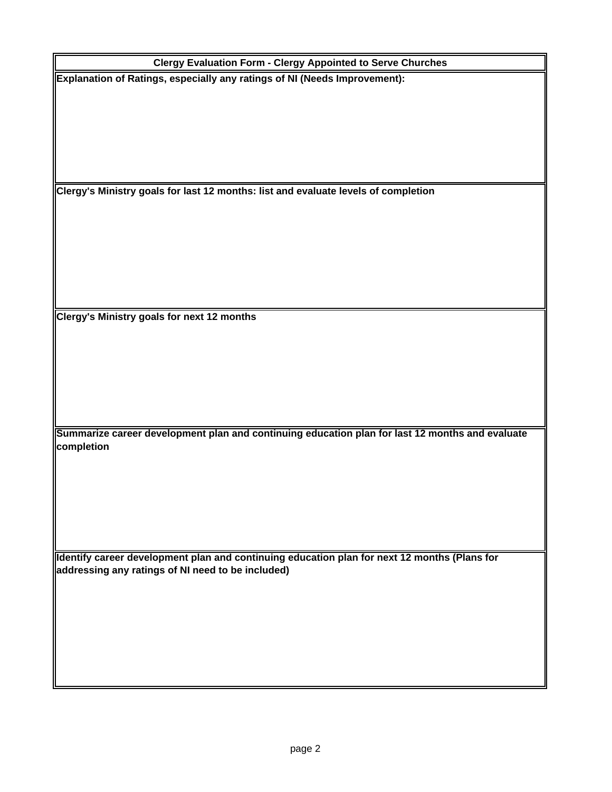| <b>Clergy Evaluation Form - Clergy Appointed to Serve Churches</b>                              |
|-------------------------------------------------------------------------------------------------|
| Explanation of Ratings, especially any ratings of NI (Needs Improvement):                       |
|                                                                                                 |
|                                                                                                 |
|                                                                                                 |
|                                                                                                 |
|                                                                                                 |
|                                                                                                 |
|                                                                                                 |
| Clergy's Ministry goals for last 12 months: list and evaluate levels of completion              |
|                                                                                                 |
|                                                                                                 |
|                                                                                                 |
|                                                                                                 |
|                                                                                                 |
|                                                                                                 |
|                                                                                                 |
| Clergy's Ministry goals for next 12 months                                                      |
|                                                                                                 |
|                                                                                                 |
|                                                                                                 |
|                                                                                                 |
|                                                                                                 |
|                                                                                                 |
|                                                                                                 |
| Summarize career development plan and continuing education plan for last 12 months and evaluate |
| completion                                                                                      |
|                                                                                                 |
|                                                                                                 |
|                                                                                                 |
|                                                                                                 |
|                                                                                                 |
|                                                                                                 |
|                                                                                                 |
| Identify career development plan and continuing education plan for next 12 months (Plans for    |
| addressing any ratings of NI need to be included)                                               |
|                                                                                                 |
|                                                                                                 |
|                                                                                                 |
|                                                                                                 |
|                                                                                                 |
|                                                                                                 |
|                                                                                                 |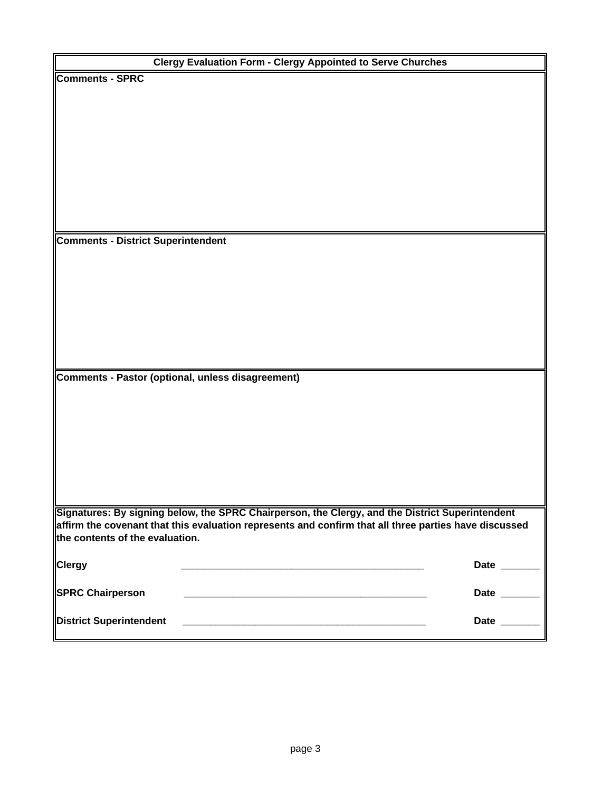|                                           | <b>Clergy Evaluation Form - Clergy Appointed to Serve Churches</b>                                    |              |
|-------------------------------------------|-------------------------------------------------------------------------------------------------------|--------------|
| <b>Comments - SPRC</b>                    |                                                                                                       |              |
|                                           |                                                                                                       |              |
|                                           |                                                                                                       |              |
|                                           |                                                                                                       |              |
|                                           |                                                                                                       |              |
|                                           |                                                                                                       |              |
|                                           |                                                                                                       |              |
|                                           |                                                                                                       |              |
|                                           |                                                                                                       |              |
|                                           |                                                                                                       |              |
|                                           |                                                                                                       |              |
|                                           |                                                                                                       |              |
| <b>Comments - District Superintendent</b> |                                                                                                       |              |
|                                           |                                                                                                       |              |
|                                           |                                                                                                       |              |
|                                           |                                                                                                       |              |
|                                           |                                                                                                       |              |
|                                           |                                                                                                       |              |
|                                           |                                                                                                       |              |
|                                           |                                                                                                       |              |
|                                           |                                                                                                       |              |
|                                           |                                                                                                       |              |
|                                           | Comments - Pastor (optional, unless disagreement)                                                     |              |
|                                           |                                                                                                       |              |
|                                           |                                                                                                       |              |
|                                           |                                                                                                       |              |
|                                           |                                                                                                       |              |
|                                           |                                                                                                       |              |
|                                           |                                                                                                       |              |
|                                           |                                                                                                       |              |
|                                           |                                                                                                       |              |
|                                           | Signatures: By signing below, the SPRC Chairperson, the Clergy, and the District Superintendent       |              |
|                                           | affirm the covenant that this evaluation represents and confirm that all three parties have discussed |              |
| the contents of the evaluation.           |                                                                                                       |              |
|                                           |                                                                                                       |              |
| <b>Clergy</b>                             |                                                                                                       | Date _______ |
|                                           |                                                                                                       |              |
| <b>SPRC Chairperson</b>                   |                                                                                                       | Date ______  |
|                                           |                                                                                                       |              |
| <b>District Superintendent</b>            |                                                                                                       | Date ______  |
|                                           |                                                                                                       |              |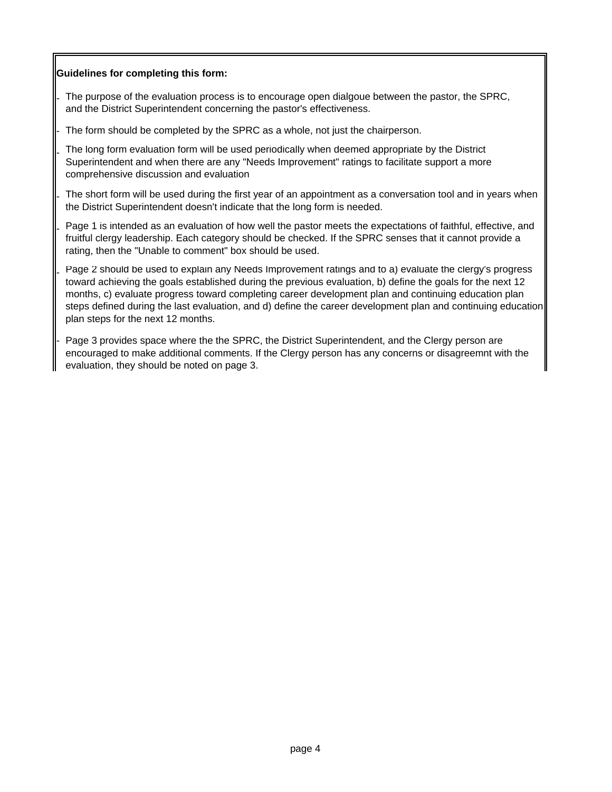#### **Guidelines for completing this form:**

-

-

-

-

-

-

-

The purpose of the evaluation process is to encourage open dialgoue between the pastor, the SPRC, and the District Superintendent concerning the pastor's effectiveness.

The form should be completed by the SPRC as a whole, not just the chairperson.

The long form evaluation form will be used periodically when deemed appropriate by the District Superintendent and when there are any "Needs Improvement" ratings to facilitate support a more comprehensive discussion and evaluation

The short form will be used during the first year of an appointment as a conversation tool and in years when the District Superintendent doesn't indicate that the long form is needed.

Page 1 is intended as an evaluation of how well the pastor meets the expectations of faithful, effective, and fruitful clergy leadership. Each category should be checked. If the SPRC senses that it cannot provide a rating, then the "Unable to comment" box should be used.

Page 2 should be used to explain any Needs Improvement ratings and to a) evaluate the clergy's progress toward achieving the goals established during the previous evaluation, b) define the goals for the next 12 months, c) evaluate progress toward completing career development plan and continuing education plan steps defined during the last evaluation, and d) define the career development plan and continuing education plan steps for the next 12 months.

Page 3 provides space where the the SPRC, the District Superintendent, and the Clergy person are encouraged to make additional comments. If the Clergy person has any concerns or disagreemnt with the evaluation, they should be noted on page 3.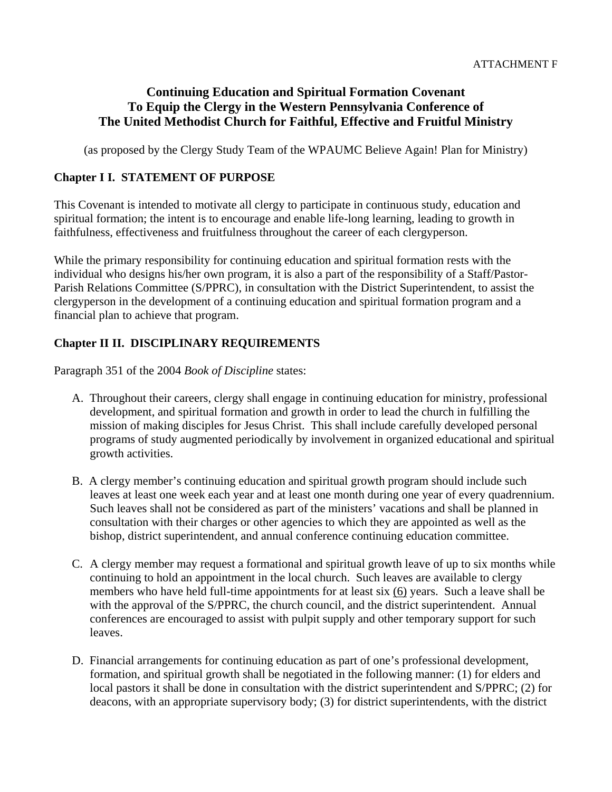## **Continuing Education and Spiritual Formation Covenant To Equip the Clergy in the Western Pennsylvania Conference of The United Methodist Church for Faithful, Effective and Fruitful Ministry**

(as proposed by the Clergy Study Team of the WPAUMC Believe Again! Plan for Ministry)

## **Chapter I I. STATEMENT OF PURPOSE**

This Covenant is intended to motivate all clergy to participate in continuous study, education and spiritual formation; the intent is to encourage and enable life-long learning, leading to growth in faithfulness, effectiveness and fruitfulness throughout the career of each clergyperson.

While the primary responsibility for continuing education and spiritual formation rests with the individual who designs his/her own program, it is also a part of the responsibility of a Staff/Pastor-Parish Relations Committee (S/PPRC), in consultation with the District Superintendent, to assist the clergyperson in the development of a continuing education and spiritual formation program and a financial plan to achieve that program.

## **Chapter II II. DISCIPLINARY REQUIREMENTS**

Paragraph 351 of the 2004 *Book of Discipline* states:

- A. Throughout their careers, clergy shall engage in continuing education for ministry, professional development, and spiritual formation and growth in order to lead the church in fulfilling the mission of making disciples for Jesus Christ. This shall include carefully developed personal programs of study augmented periodically by involvement in organized educational and spiritual growth activities.
- B. A clergy member's continuing education and spiritual growth program should include such leaves at least one week each year and at least one month during one year of every quadrennium. Such leaves shall not be considered as part of the ministers' vacations and shall be planned in consultation with their charges or other agencies to which they are appointed as well as the bishop, district superintendent, and annual conference continuing education committee.
- C. A clergy member may request a formational and spiritual growth leave of up to six months while continuing to hold an appointment in the local church. Such leaves are available to clergy members who have held full-time appointments for at least six (6) years. Such a leave shall be with the approval of the S/PPRC, the church council, and the district superintendent. Annual conferences are encouraged to assist with pulpit supply and other temporary support for such leaves.
- D. Financial arrangements for continuing education as part of one's professional development, formation, and spiritual growth shall be negotiated in the following manner: (1) for elders and local pastors it shall be done in consultation with the district superintendent and S/PPRC; (2) for deacons, with an appropriate supervisory body; (3) for district superintendents, with the district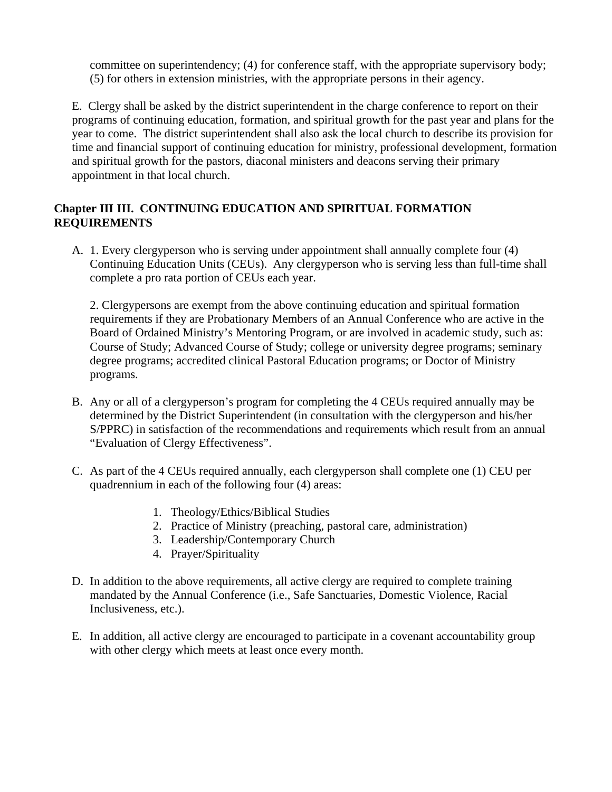committee on superintendency; (4) for conference staff, with the appropriate supervisory body; (5) for others in extension ministries, with the appropriate persons in their agency.

E. Clergy shall be asked by the district superintendent in the charge conference to report on their programs of continuing education, formation, and spiritual growth for the past year and plans for the year to come. The district superintendent shall also ask the local church to describe its provision for time and financial support of continuing education for ministry, professional development, formation and spiritual growth for the pastors, diaconal ministers and deacons serving their primary appointment in that local church.

## **Chapter III III. CONTINUING EDUCATION AND SPIRITUAL FORMATION REQUIREMENTS**

A. 1. Every clergyperson who is serving under appointment shall annually complete four (4) Continuing Education Units (CEUs). Any clergyperson who is serving less than full-time shall complete a pro rata portion of CEUs each year.

2. Clergypersons are exempt from the above continuing education and spiritual formation requirements if they are Probationary Members of an Annual Conference who are active in the Board of Ordained Ministry's Mentoring Program, or are involved in academic study, such as: Course of Study; Advanced Course of Study; college or university degree programs; seminary degree programs; accredited clinical Pastoral Education programs; or Doctor of Ministry programs.

- B. Any or all of a clergyperson's program for completing the 4 CEUs required annually may be determined by the District Superintendent (in consultation with the clergyperson and his/her S/PPRC) in satisfaction of the recommendations and requirements which result from an annual "Evaluation of Clergy Effectiveness".
- C. As part of the 4 CEUs required annually, each clergyperson shall complete one (1) CEU per quadrennium in each of the following four (4) areas:
	- 1. Theology/Ethics/Biblical Studies
	- 2. Practice of Ministry (preaching, pastoral care, administration)
	- 3. Leadership/Contemporary Church
	- 4. Prayer/Spirituality
- D. In addition to the above requirements, all active clergy are required to complete training mandated by the Annual Conference (i.e., Safe Sanctuaries, Domestic Violence, Racial Inclusiveness, etc.).
- E. In addition, all active clergy are encouraged to participate in a covenant accountability group with other clergy which meets at least once every month.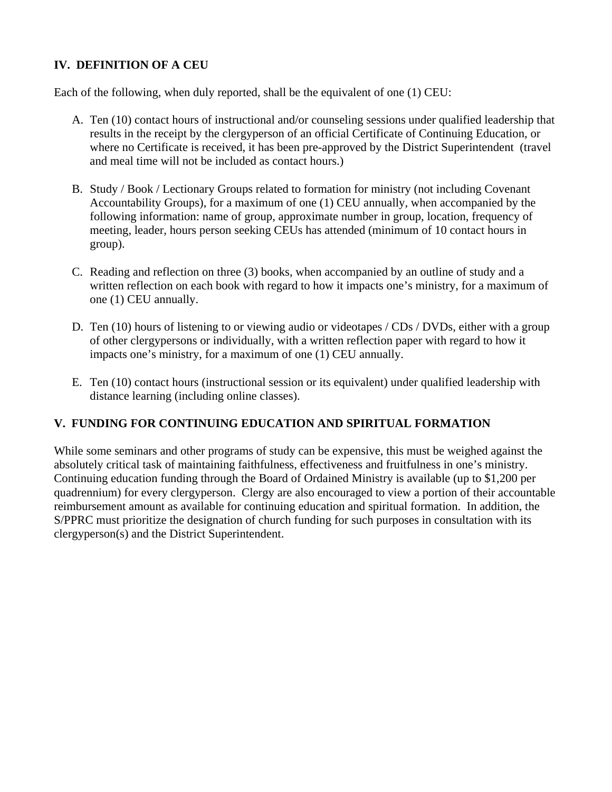## **IV. DEFINITION OF A CEU**

Each of the following, when duly reported, shall be the equivalent of one (1) CEU:

- A. Ten (10) contact hours of instructional and/or counseling sessions under qualified leadership that results in the receipt by the clergyperson of an official Certificate of Continuing Education, or where no Certificate is received, it has been pre-approved by the District Superintendent (travel and meal time will not be included as contact hours.)
- B. Study / Book / Lectionary Groups related to formation for ministry (not including Covenant Accountability Groups), for a maximum of one (1) CEU annually, when accompanied by the following information: name of group, approximate number in group, location, frequency of meeting, leader, hours person seeking CEUs has attended (minimum of 10 contact hours in group).
- C. Reading and reflection on three (3) books, when accompanied by an outline of study and a written reflection on each book with regard to how it impacts one's ministry, for a maximum of one (1) CEU annually.
- D. Ten (10) hours of listening to or viewing audio or videotapes / CDs / DVDs, either with a group of other clergypersons or individually, with a written reflection paper with regard to how it impacts one's ministry, for a maximum of one (1) CEU annually.
- E. Ten (10) contact hours (instructional session or its equivalent) under qualified leadership with distance learning (including online classes).

## **V. FUNDING FOR CONTINUING EDUCATION AND SPIRITUAL FORMATION**

While some seminars and other programs of study can be expensive, this must be weighed against the absolutely critical task of maintaining faithfulness, effectiveness and fruitfulness in one's ministry. Continuing education funding through the Board of Ordained Ministry is available (up to \$1,200 per quadrennium) for every clergyperson. Clergy are also encouraged to view a portion of their accountable reimbursement amount as available for continuing education and spiritual formation. In addition, the S/PPRC must prioritize the designation of church funding for such purposes in consultation with its clergyperson(s) and the District Superintendent.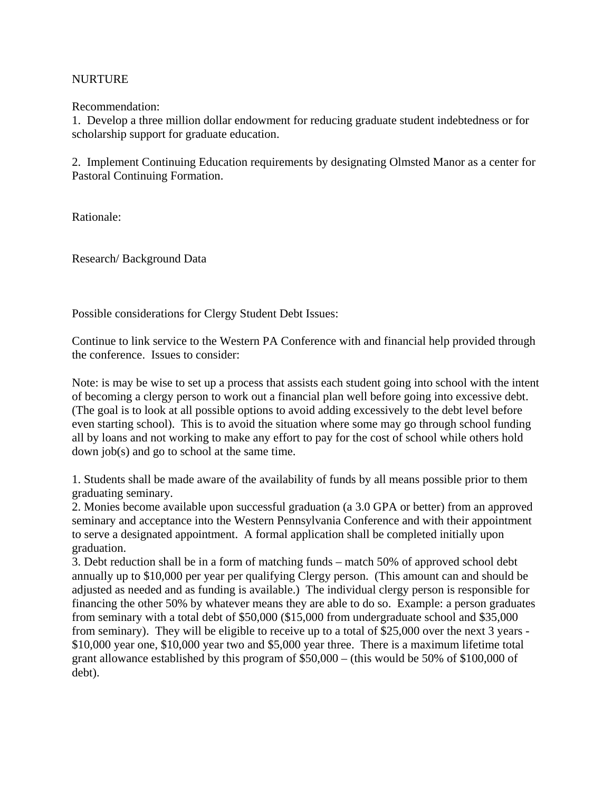### NURTURE

Recommendation:

1. Develop a three million dollar endowment for reducing graduate student indebtedness or for scholarship support for graduate education.

2. Implement Continuing Education requirements by designating Olmsted Manor as a center for Pastoral Continuing Formation.

Rationale:

Research/ Background Data

Possible considerations for Clergy Student Debt Issues:

Continue to link service to the Western PA Conference with and financial help provided through the conference. Issues to consider:

Note: is may be wise to set up a process that assists each student going into school with the intent of becoming a clergy person to work out a financial plan well before going into excessive debt. (The goal is to look at all possible options to avoid adding excessively to the debt level before even starting school). This is to avoid the situation where some may go through school funding all by loans and not working to make any effort to pay for the cost of school while others hold down job(s) and go to school at the same time.

1. Students shall be made aware of the availability of funds by all means possible prior to them graduating seminary.

2. Monies become available upon successful graduation (a 3.0 GPA or better) from an approved seminary and acceptance into the Western Pennsylvania Conference and with their appointment to serve a designated appointment. A formal application shall be completed initially upon graduation.

3. Debt reduction shall be in a form of matching funds – match 50% of approved school debt annually up to \$10,000 per year per qualifying Clergy person. (This amount can and should be adjusted as needed and as funding is available.) The individual clergy person is responsible for financing the other 50% by whatever means they are able to do so. Example: a person graduates from seminary with a total debt of \$50,000 (\$15,000 from undergraduate school and \$35,000 from seminary). They will be eligible to receive up to a total of \$25,000 over the next 3 years - \$10,000 year one, \$10,000 year two and \$5,000 year three. There is a maximum lifetime total grant allowance established by this program of \$50,000 – (this would be 50% of \$100,000 of debt).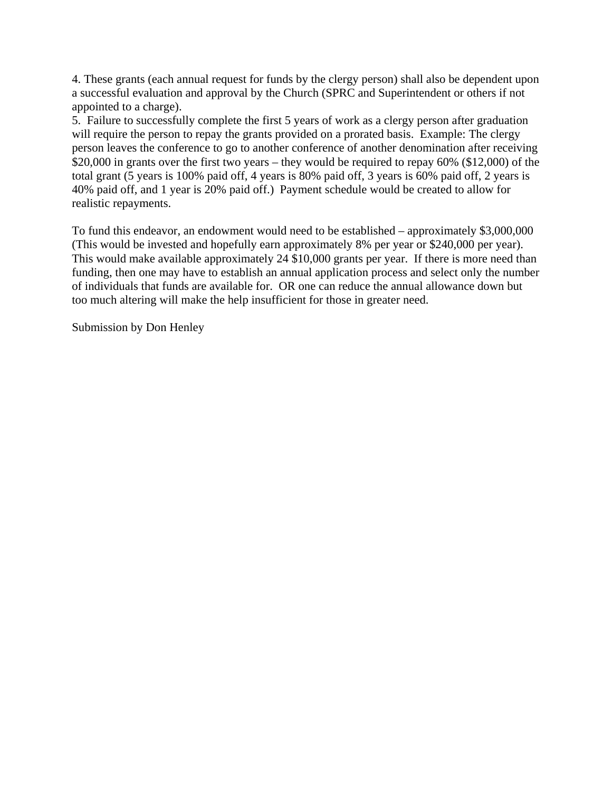4. These grants (each annual request for funds by the clergy person) shall also be dependent upon a successful evaluation and approval by the Church (SPRC and Superintendent or others if not appointed to a charge).

5. Failure to successfully complete the first 5 years of work as a clergy person after graduation will require the person to repay the grants provided on a prorated basis. Example: The clergy person leaves the conference to go to another conference of another denomination after receiving \$20,000 in grants over the first two years – they would be required to repay 60% (\$12,000) of the total grant (5 years is 100% paid off, 4 years is 80% paid off, 3 years is 60% paid off, 2 years is 40% paid off, and 1 year is 20% paid off.) Payment schedule would be created to allow for realistic repayments.

To fund this endeavor, an endowment would need to be established – approximately \$3,000,000 (This would be invested and hopefully earn approximately 8% per year or \$240,000 per year). This would make available approximately 24 \$10,000 grants per year. If there is more need than funding, then one may have to establish an annual application process and select only the number of individuals that funds are available for. OR one can reduce the annual allowance down but too much altering will make the help insufficient for those in greater need.

Submission by Don Henley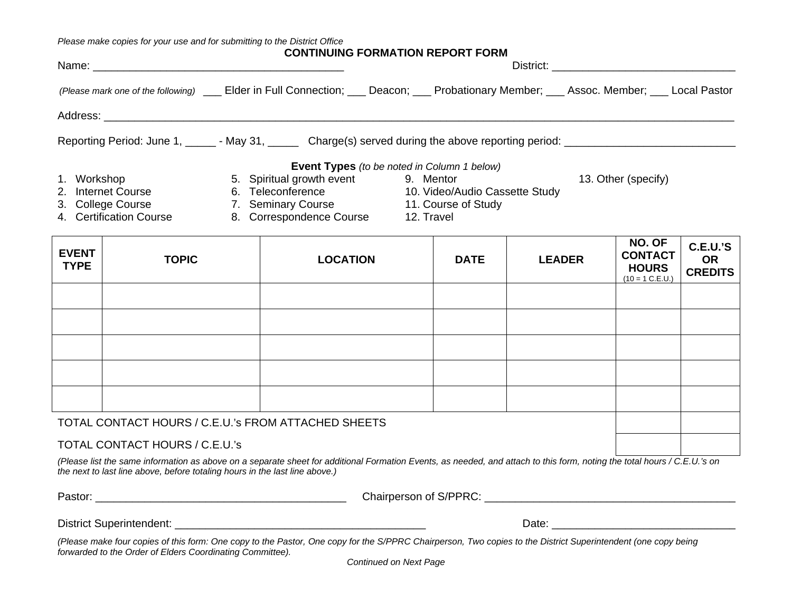*Please make copies for your use and for submitting to the District Office* 

|                                                                                                                                                                                                                                |                                     | <b>CONTINUING FORMATION REPORT FORM</b>            |                           |
|--------------------------------------------------------------------------------------------------------------------------------------------------------------------------------------------------------------------------------|-------------------------------------|----------------------------------------------------|---------------------------|
| (Please mark one of the following) ______ Elder in Full Connection; _____ Deacon; _____ Probationary Member; _____ Assoc. Member; _____ Local Pastor                                                                           |                                     |                                                    |                           |
| Address: Andreas Address Andrew Management and Address and Address and Address and Address Andrew Management and Address and Address and Address and Address and Address and Address and Address and Address and Address and A |                                     |                                                    |                           |
| Reporting Period: June 1, ______ - May 31, _______ Charge(s) served during the above reporting period: _______________________________                                                                                         |                                     |                                                    |                           |
|                                                                                                                                                                                                                                |                                     | <b>Event Types</b> (to be noted in Column 1 below) |                           |
| 1. Workshop                                                                                                                                                                                                                    | 5. Spiritual growth event 9. Mentor |                                                    | 13. Other (specify)       |
| 2. Internet Course                                                                                                                                                                                                             | 6. Teleconference                   | 10. Video/Audio Cassette Study                     |                           |
| 3. College Course                                                                                                                                                                                                              | 7. Seminary Course                  | 11. Course of Study                                |                           |
| 4. Certification Course                                                                                                                                                                                                        | 8. Correspondence Course            | 12. Travel                                         |                           |
|                                                                                                                                                                                                                                |                                     |                                                    | $\mathbf{N}$ $\mathbf{A}$ |

| <b>EVENT</b><br><b>TYPE</b> | <b>TOPIC</b>                                        | <b>LOCATION</b> | <b>DATE</b> | <b>LEADER</b> | NU. UF<br><b>CONTACT</b><br><b>HOURS</b><br>$(10 = 1 C.E.U.)$ | C.E.U.'S<br><b>OR</b><br><b>CREDITS</b> |
|-----------------------------|-----------------------------------------------------|-----------------|-------------|---------------|---------------------------------------------------------------|-----------------------------------------|
|                             |                                                     |                 |             |               |                                                               |                                         |
|                             |                                                     |                 |             |               |                                                               |                                         |
|                             |                                                     |                 |             |               |                                                               |                                         |
|                             |                                                     |                 |             |               |                                                               |                                         |
|                             |                                                     |                 |             |               |                                                               |                                         |
|                             | TOTAL CONTACT HOURS / C.E.U.'s FROM ATTACHED SHEETS |                 |             |               |                                                               |                                         |

### TOTAL CONTACT HOURS / C.E.U.'s

*(Please list the same information as above on a separate sheet for additional Formation Events, as needed, and attach to this form, noting the total hours / C.E.U.'s on the next to last line above, before totaling hours in the last line above.)* 

| τ<br>C. |
|---------|
|---------|

Pastor: \_\_\_\_\_\_\_\_\_\_\_\_\_\_\_\_\_\_\_\_\_\_\_\_\_\_\_\_\_\_\_\_\_\_\_\_\_\_\_\_\_ Chairperson of S/PPRC: \_\_\_\_\_\_\_\_\_\_\_\_\_\_\_\_\_\_\_\_\_\_\_\_\_\_\_\_\_\_\_\_\_\_\_\_\_\_\_\_\_

District Superintendent: \_\_\_\_\_\_\_\_\_\_\_\_\_\_\_\_\_\_\_\_\_\_\_\_\_\_\_\_\_\_\_\_\_\_\_\_\_\_\_\_\_ Date: \_\_\_\_\_\_\_\_\_\_\_\_\_\_\_\_\_\_\_\_\_\_\_\_\_\_\_\_\_\_

*(Please make four copies of this form: One copy to the Pastor, One copy for the S/PPRC Chairperson, Two copies to the District Superintendent (one copy being forwarded to the Order of Elders Coordinating Committee).*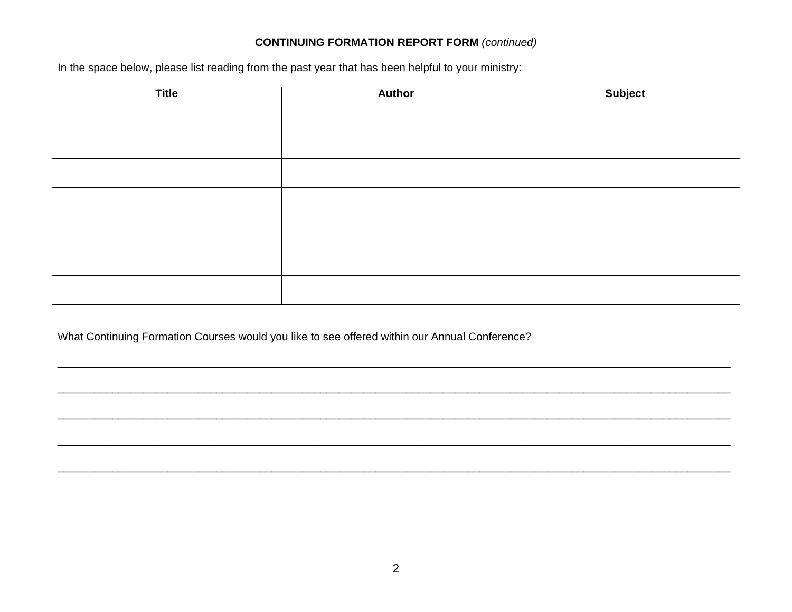### **CONTINUING FORMATION REPORT FORM (continued)**

In the space below, please list reading from the past year that has been helpful to your ministry:

| <b>Title</b> | <b>Author</b> | Subject |
|--------------|---------------|---------|
|              |               |         |
|              |               |         |
|              |               |         |
|              |               |         |
|              |               |         |
|              |               |         |
|              |               |         |

What Continuing Formation Courses would you like to see offered within our Annual Conference?

,我们就会在这里的,我们就会在这里的时候,我们就会在这里的时候,我们就会在这里的时候,我们就会在这里的时候,我们就会在这里的时候,我们就会在这里的时候,我们就会<br>第251章 我们的时候,我们就会在这里的时候,我们就会在这里的时候,我们就会在这里的时候,我们就会在这里的时候,我们就会在这里的时候,我们就会在这里的时候,我们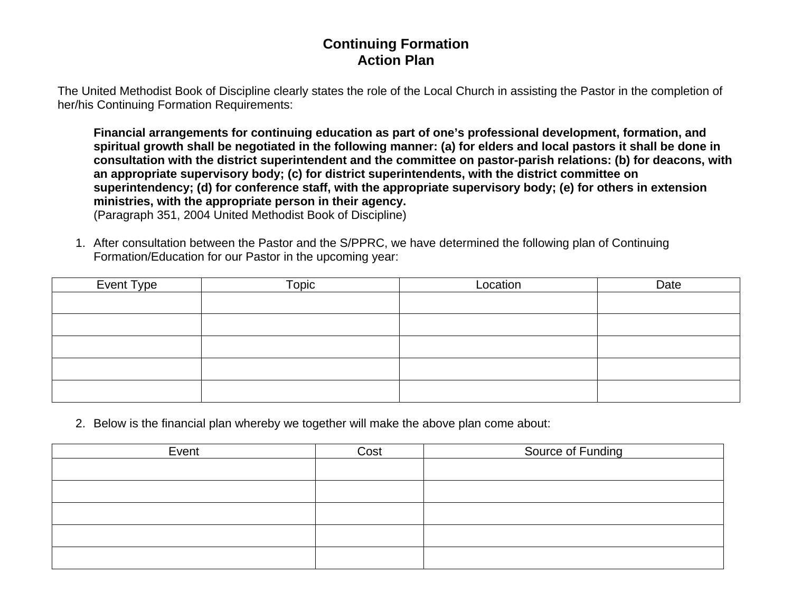## **Continuing Formation Action Plan**

The United Methodist Book of Discipline clearly states the role of the Local Church in assisting the Pastor in the completion of her/his Continuing Formation Requirements:

**Financial arrangements for continuing education as part of one's professional development, formation, and spiritual growth shall be negotiated in the following manner: (a) for elders and local pastors it shall be done in consultation with the district superintendent and the committee on pastor-parish relations: (b) for deacons, with an appropriate supervisory body; (c) for district superintendents, with the district committee on superintendency; (d) for conference staff, with the appropriate supervisory body; (e) for others in extension ministries, with the appropriate person in their agency.** (Paragraph 351, 2004 United Methodist Book of Discipline)

1. After consultation between the Pastor and the S/PPRC, we have determined the following plan of Continuing Formation/Education for our Pastor in the upcoming year:

| Event Type | Topic | Location | Date |
|------------|-------|----------|------|
|            |       |          |      |
|            |       |          |      |
|            |       |          |      |
|            |       |          |      |
|            |       |          |      |

2. Below is the financial plan whereby we together will make the above plan come about:

| Event | Cost | Source of Funding |
|-------|------|-------------------|
|       |      |                   |
|       |      |                   |
|       |      |                   |
|       |      |                   |
|       |      |                   |